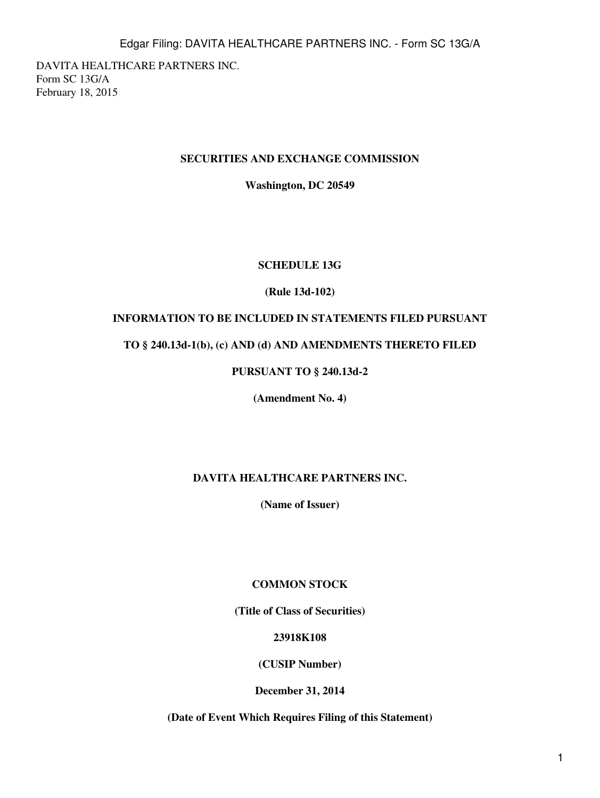DAVITA HEALTHCARE PARTNERS INC. Form SC 13G/A February 18, 2015

### **SECURITIES AND EXCHANGE COMMISSION**

**Washington, DC 20549**

### **SCHEDULE 13G**

### **(Rule 13d-102)**

# **INFORMATION TO BE INCLUDED IN STATEMENTS FILED PURSUANT**

### **TO § 240.13d-1(b), (c) AND (d) AND AMENDMENTS THERETO FILED**

# **PURSUANT TO § 240.13d-2**

**(Amendment No. 4)**

### **DAVITA HEALTHCARE PARTNERS INC.**

**(Name of Issuer)**

### **COMMON STOCK**

**(Title of Class of Securities)**

### **23918K108**

**(CUSIP Number)**

**December 31, 2014**

**(Date of Event Which Requires Filing of this Statement)**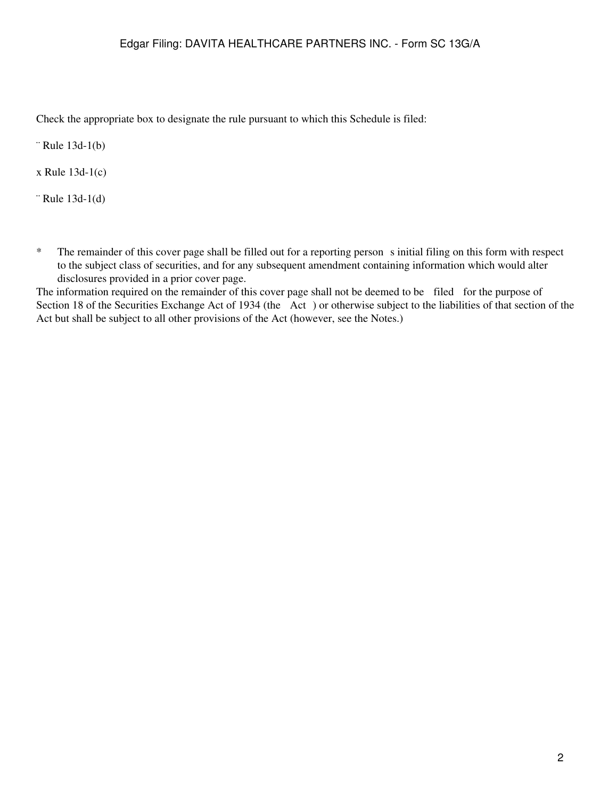Check the appropriate box to designate the rule pursuant to which this Schedule is filed:

¨ Rule 13d-1(b)

x Rule 13d-1(c)

¨ Rule 13d-1(d)

\* The remainder of this cover page shall be filled out for a reporting persons initial filing on this form with respect to the subject class of securities, and for any subsequent amendment containing information which would alter disclosures provided in a prior cover page.

The information required on the remainder of this cover page shall not be deemed to be filed for the purpose of Section 18 of the Securities Exchange Act of 1934 (the Act) or otherwise subject to the liabilities of that section of the Act but shall be subject to all other provisions of the Act (however, see the Notes.)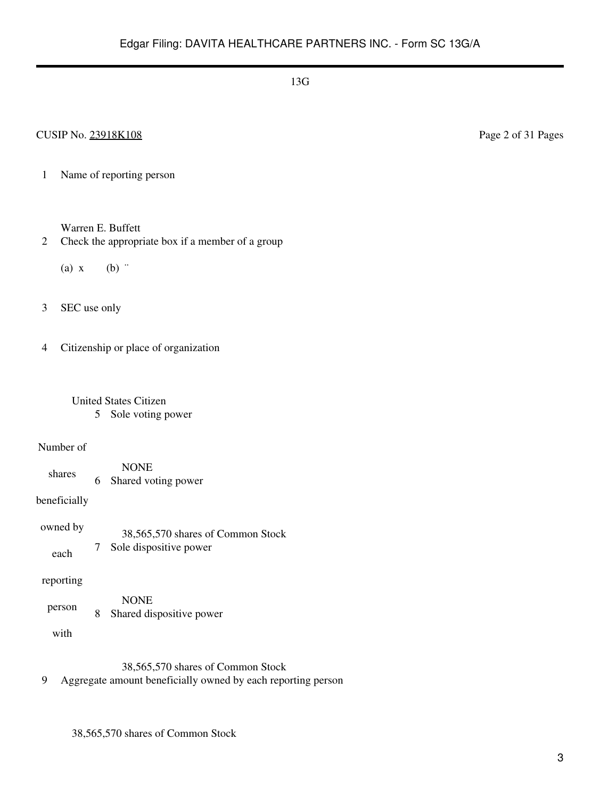1 Name of reporting person

Warren E. Buffett

2 Check the appropriate box if a member of a group

(a)  $x$  (b)  $\dddot{ }$ 

3 SEC use only

4 Citizenship or place of organization

# United States Citizen

5 Sole voting power

#### Number of

shares NONE 6 Shared voting power

beneficially

owned by each 38,565,570 shares of Common Stock 7 Sole dispositive power

reporting

person NONE 8 Shared dispositive power

with

38,565,570 shares of Common Stock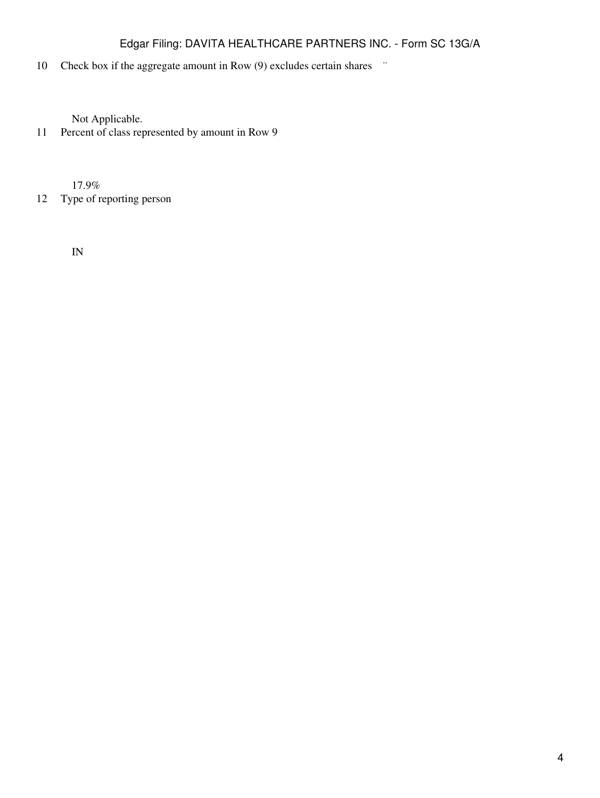# 10 Check box if the aggregate amount in Row (9) excludes certain shares  $\ddot{\,}$

Not Applicable.

11 Percent of class represented by amount in Row 9

17.9%

12 Type of reporting person

IN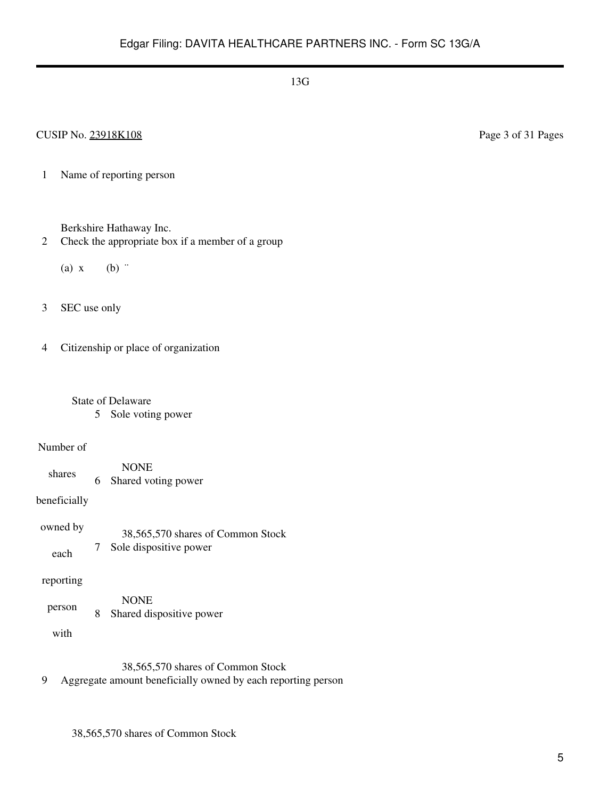1 Name of reporting person

Berkshire Hathaway Inc.

2 Check the appropriate box if a member of a group

(a)  $x$  (b)  $\dddot{ }$ 

3 SEC use only

4 Citizenship or place of organization

- State of Delaware 5 Sole voting power
- Number of
	- shares NONE 6 Shared voting power

beneficially

owned by each 38,565,570 shares of Common Stock 7 Sole dispositive power

reporting

person NONE 8 Shared dispositive power

with

38,565,570 shares of Common Stock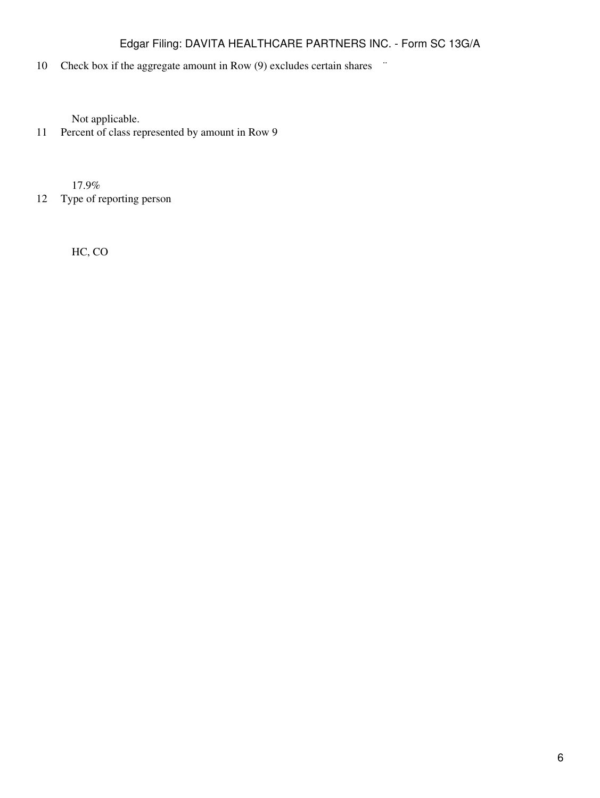# 10 Check box if the aggregate amount in Row (9) excludes certain shares  $\ddot{\,}$

Not applicable.

11 Percent of class represented by amount in Row 9

17.9%

12 Type of reporting person

HC, CO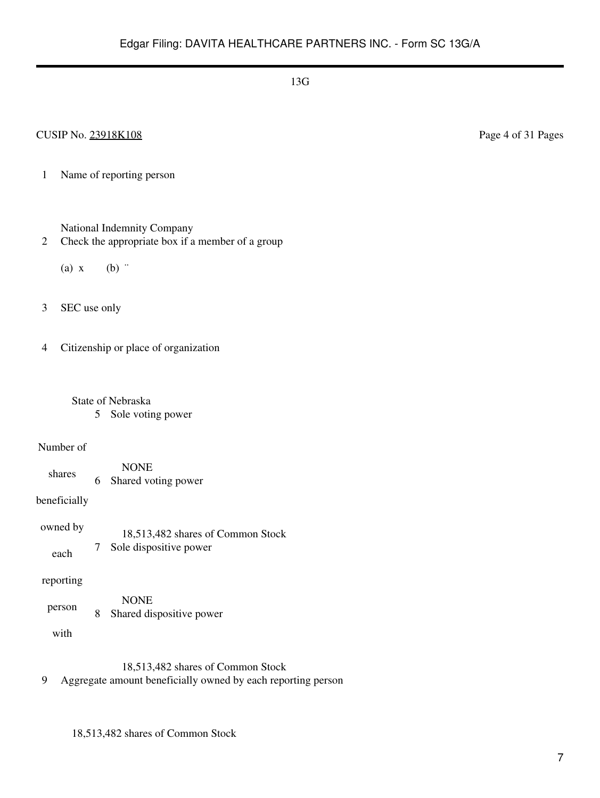### CUSIP No. 23918K108 Page 4 of 31 Pages

1 Name of reporting person

National Indemnity Company

- 2 Check the appropriate box if a member of a group
	- (a)  $x$  (b)  $\dddot{ }$
- 3 SEC use only

4 Citizenship or place of organization

- State of Nebraska 5 Sole voting power
	-

#### Number of

shares NONE 6 Shared voting power

beneficially

owned by each 18,513,482 shares of Common Stock 7 Sole dispositive power

#### reporting

person NONE 8 Shared dispositive power

with

18,513,482 shares of Common Stock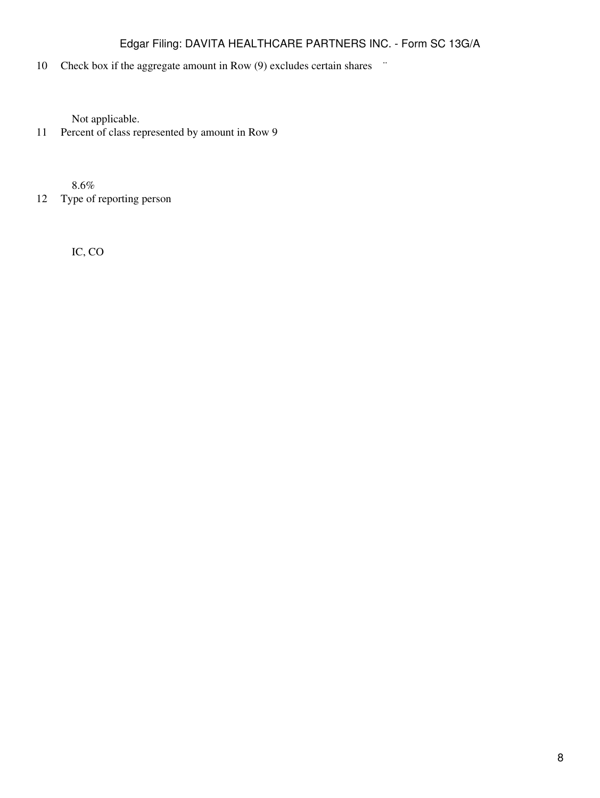# 10 Check box if the aggregate amount in Row (9) excludes certain shares  $\ddot{\,}$

Not applicable.

11 Percent of class represented by amount in Row 9

8.6%

12 Type of reporting person

IC, CO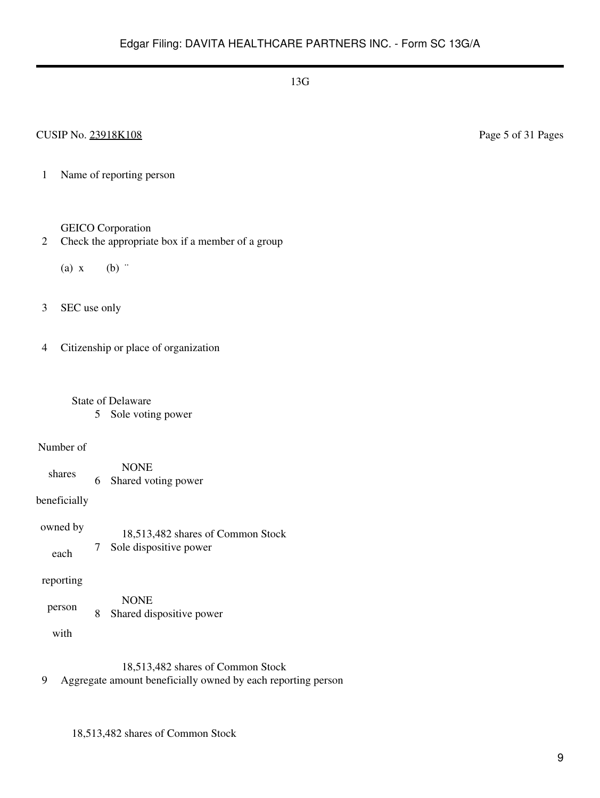1 Name of reporting person

#### GEICO Corporation

- 2 Check the appropriate box if a member of a group
	- (a)  $x$  (b)  $\dddot{ }$
- 3 SEC use only

4 Citizenship or place of organization

- State of Delaware
	- 5 Sole voting power

#### Number of

shares NONE 6 Shared voting power

beneficially

owned by each 18,513,482 shares of Common Stock 7 Sole dispositive power

### reporting

person NONE 8 Shared dispositive power

with

18,513,482 shares of Common Stock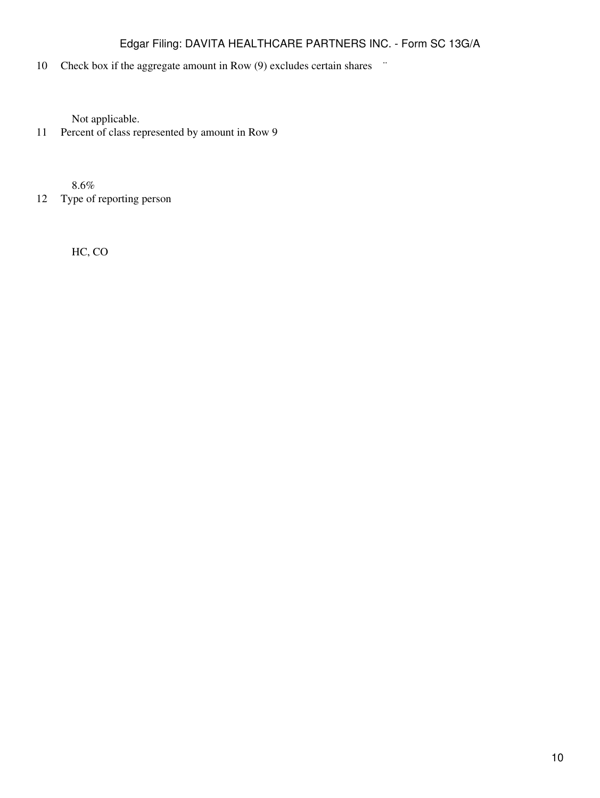# 10 Check box if the aggregate amount in Row (9) excludes certain shares  $\ddot{\,}$

Not applicable.

11 Percent of class represented by amount in Row 9

8.6%

12 Type of reporting person

HC, CO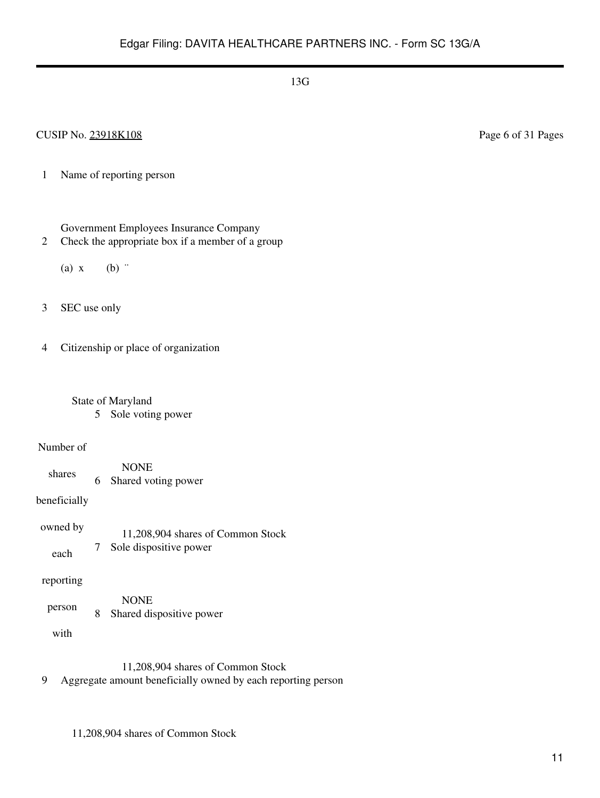### CUSIP No. 23918K108 Page 6 of 31 Pages

1 Name of reporting person

Government Employees Insurance Company

- 2 Check the appropriate box if a member of a group
	- (a)  $x$  (b)  $\dddot{ }$

3 SEC use only

4 Citizenship or place of organization

 State of Maryland 5 Sole voting power

#### Number of

shares NONE 6 Shared voting power

beneficially

owned by each 11,208,904 shares of Common Stock 7 Sole dispositive power

reporting

person NONE 8 Shared dispositive power

with

11,208,904 shares of Common Stock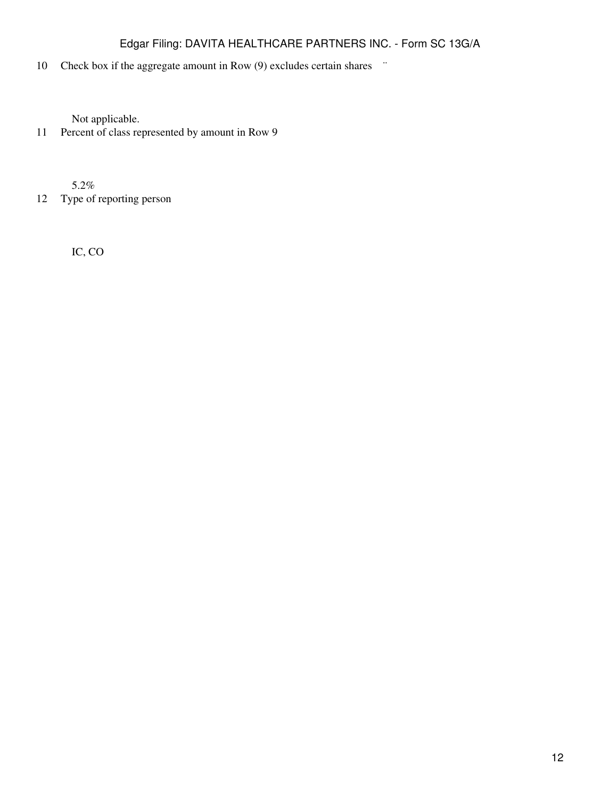# 10 Check box if the aggregate amount in Row (9) excludes certain shares  $\ddot{\,}$

Not applicable.

11 Percent of class represented by amount in Row 9

5.2%

12 Type of reporting person

IC, CO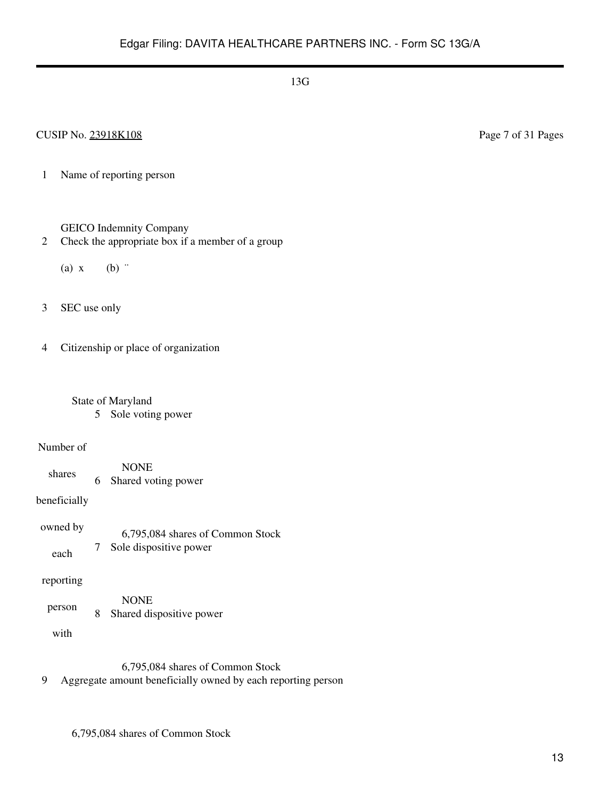### CUSIP No. 23918K108 Page 7 of 31 Pages

1 Name of reporting person

GEICO Indemnity Company

2 Check the appropriate box if a member of a group

(a)  $x$  (b)  $\dddot{ }$ 

3 SEC use only

4 Citizenship or place of organization

 State of Maryland 5 Sole voting power

#### Number of

shares NONE 6 Shared voting power

beneficially

| owned by | 6,795,084 shares of Common Stock |
|----------|----------------------------------|
| each     | Sole dispositive power           |

#### reporting

person NONE 8 Shared dispositive power

with

6,795,084 shares of Common Stock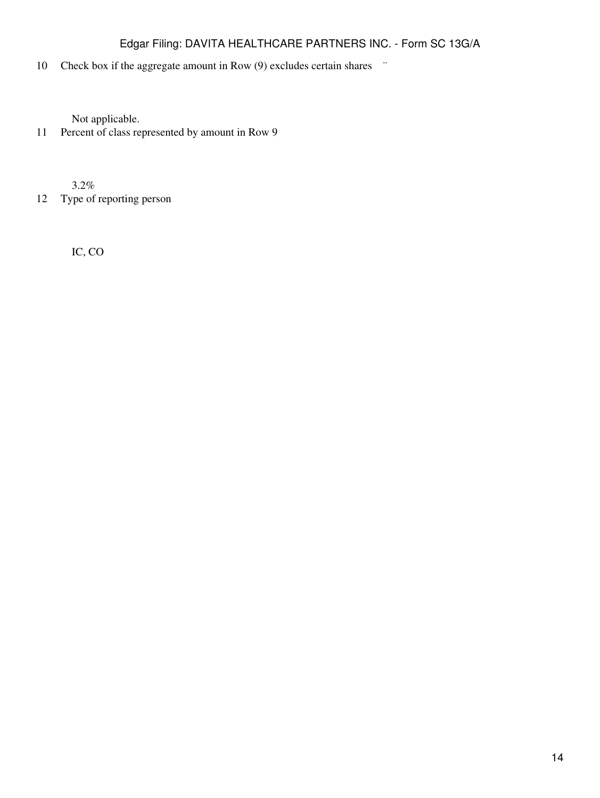# 10 Check box if the aggregate amount in Row (9) excludes certain shares  $\ddot{\,}$

Not applicable.

11 Percent of class represented by amount in Row 9

3.2%

12 Type of reporting person

IC, CO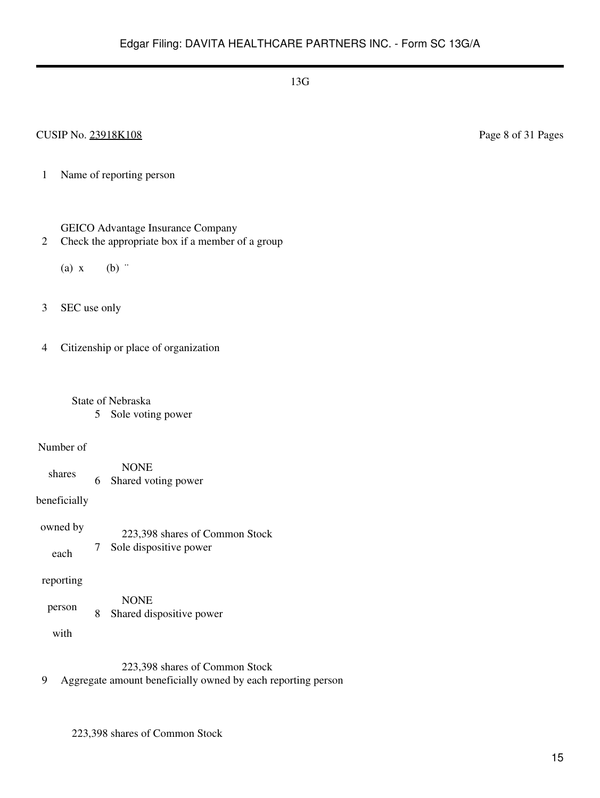### CUSIP No. 23918K108 Page 8 of 31 Pages

1 Name of reporting person

GEICO Advantage Insurance Company

2 Check the appropriate box if a member of a group

(a)  $x$  (b)  $\dddot{ }$ 

3 SEC use only

4 Citizenship or place of organization

 State of Nebraska 5 Sole voting power

Number of

shares NONE 6 Shared voting power

beneficially

owned by each 223,398 shares of Common Stock 7 Sole dispositive power

reporting

person NONE 8 Shared dispositive power

with

223,398 shares of Common Stock

9 Aggregate amount beneficially owned by each reporting person

223,398 shares of Common Stock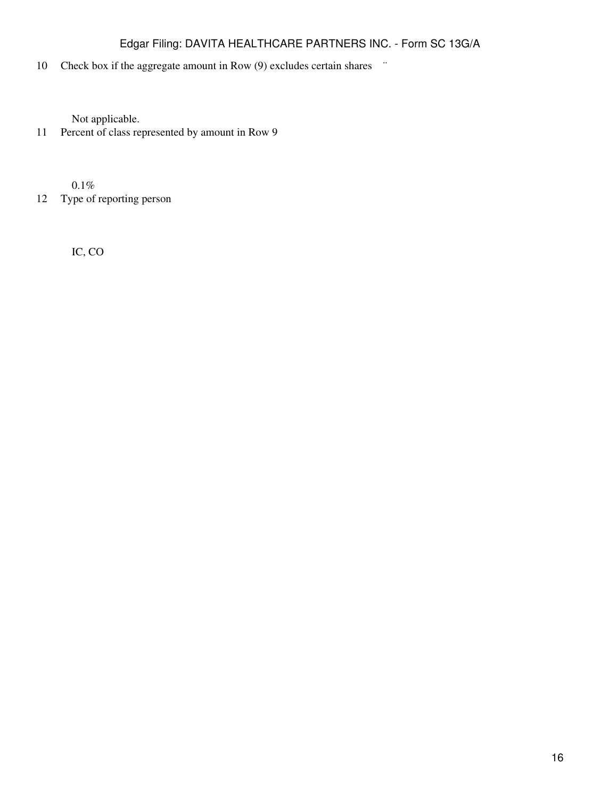# 10 Check box if the aggregate amount in Row (9) excludes certain shares  $\ddot{\,}$

Not applicable.

11 Percent of class represented by amount in Row 9

0.1%

12 Type of reporting person

IC, CO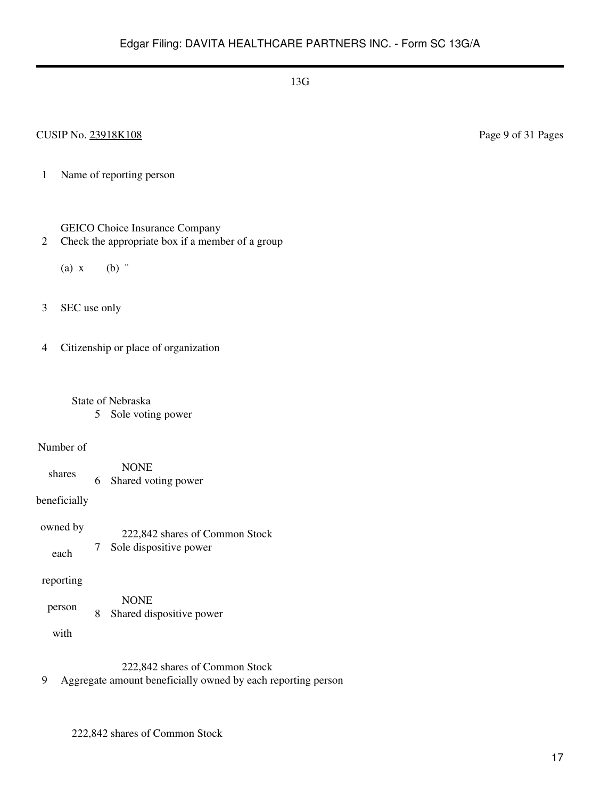### CUSIP No. 23918K108 Page 9 of 31 Pages

1 Name of reporting person

### GEICO Choice Insurance Company

- 2 Check the appropriate box if a member of a group
	- (a)  $x$  (b)  $\dddot{ }$
- 3 SEC use only

4 Citizenship or place of organization

# State of Nebraska

5 Sole voting power

#### Number of

shares NONE 6 Shared voting power

beneficially

owned by each 222,842 shares of Common Stock 7 Sole dispositive power

### reporting

person NONE 8 Shared dispositive power

with

222,842 shares of Common Stock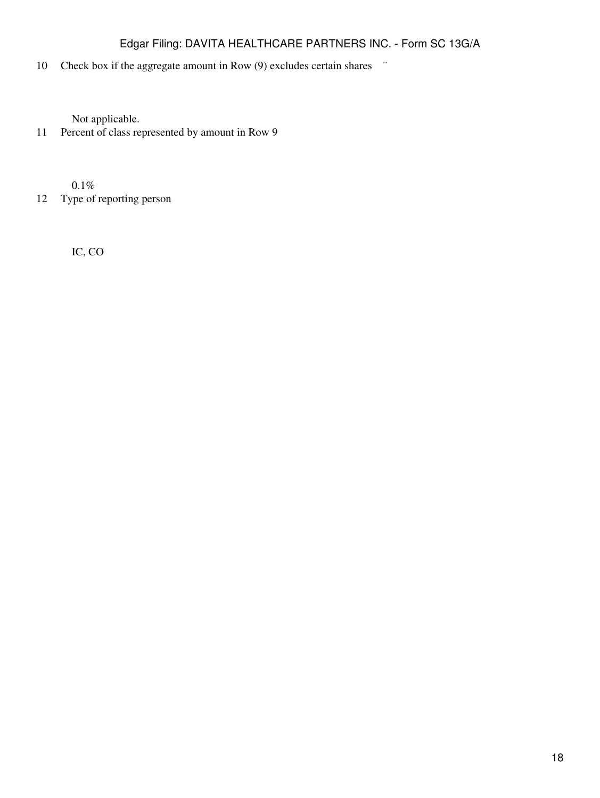# 10 Check box if the aggregate amount in Row (9) excludes certain shares  $\ddot{\,}$

Not applicable.

11 Percent of class represented by amount in Row 9

0.1%

12 Type of reporting person

IC, CO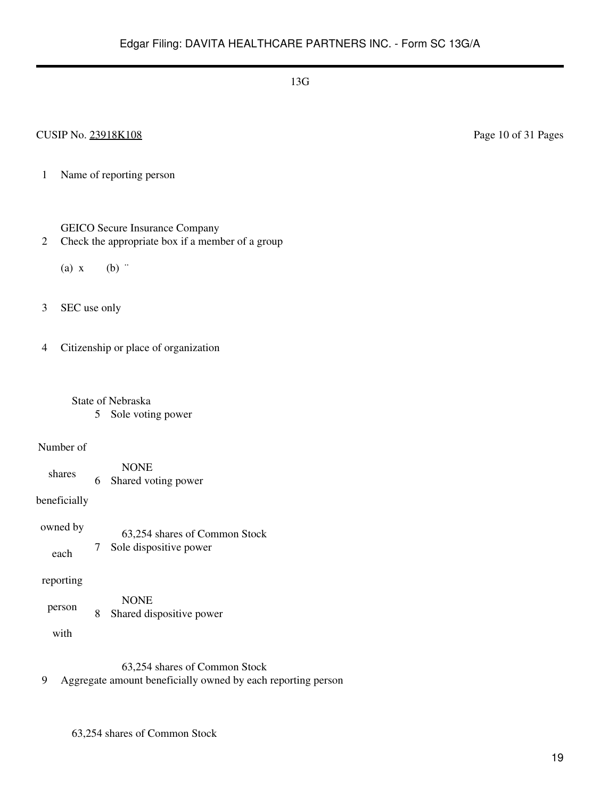### CUSIP No. 23918K108 Page 10 of 31 Pages

1 Name of reporting person

- 2 Check the appropriate box if a member of a group
	- (a)  $x$  (b)  $\dddot{ }$
- 3 SEC use only

4 Citizenship or place of organization

- State of Nebraska 5 Sole voting power
- Number of
	- shares NONE 6 Shared voting power
- beneficially
- owned by each 63,254 shares of Common Stock 7 Sole dispositive power
- reporting
- person NONE 8 Shared dispositive power
	- with

63,254 shares of Common Stock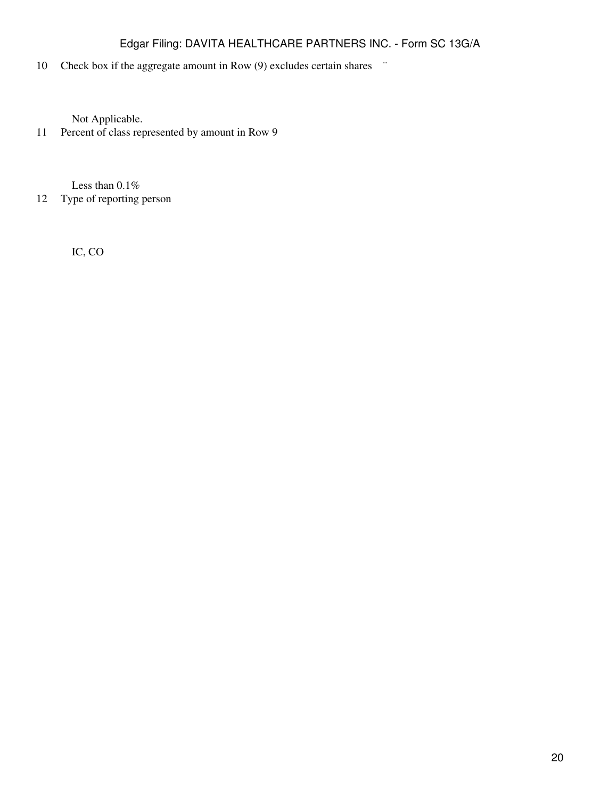# 10 Check box if the aggregate amount in Row (9) excludes certain shares  $\ddot{\,}$

Not Applicable.

11 Percent of class represented by amount in Row 9

Less than 0.1%

12 Type of reporting person

IC, CO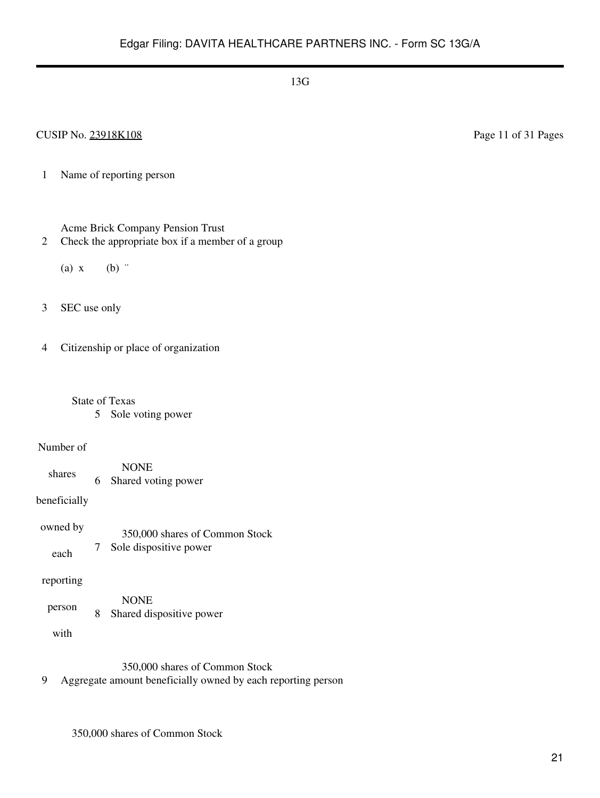### CUSIP No. 23918K108 Page 11 of 31 Pages

1 Name of reporting person

Acme Brick Company Pension Trust

- 2 Check the appropriate box if a member of a group
	- (a)  $x$  (b)  $\dddot{ }$
- 3 SEC use only

4 Citizenship or place of organization

- State of Texas
	- 5 Sole voting power

#### Number of

shares NONE 6 Shared voting power

beneficially

owned by each 350,000 shares of Common Stock 7 Sole dispositive power

### reporting

person NONE 8 Shared dispositive power

with

350,000 shares of Common Stock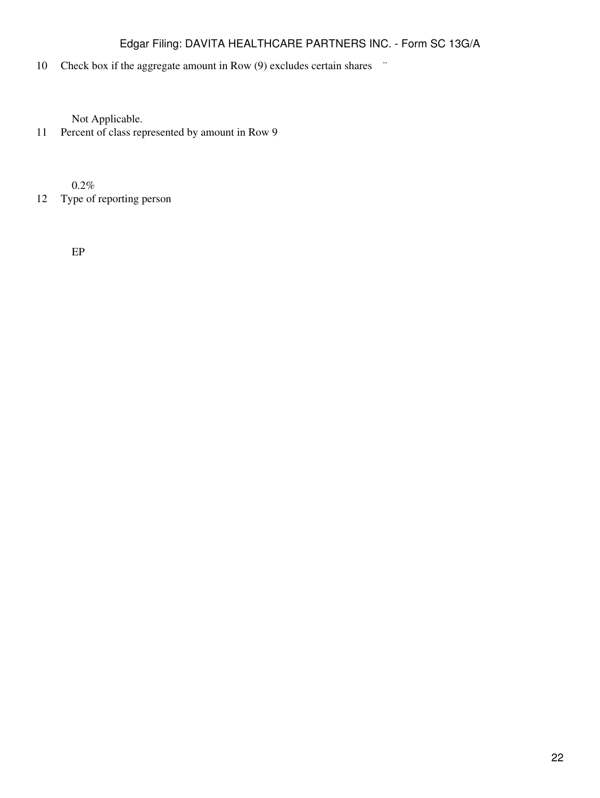# 10 Check box if the aggregate amount in Row (9) excludes certain shares  $\ddot{\,}$

Not Applicable.

11 Percent of class represented by amount in Row 9

0.2%

12 Type of reporting person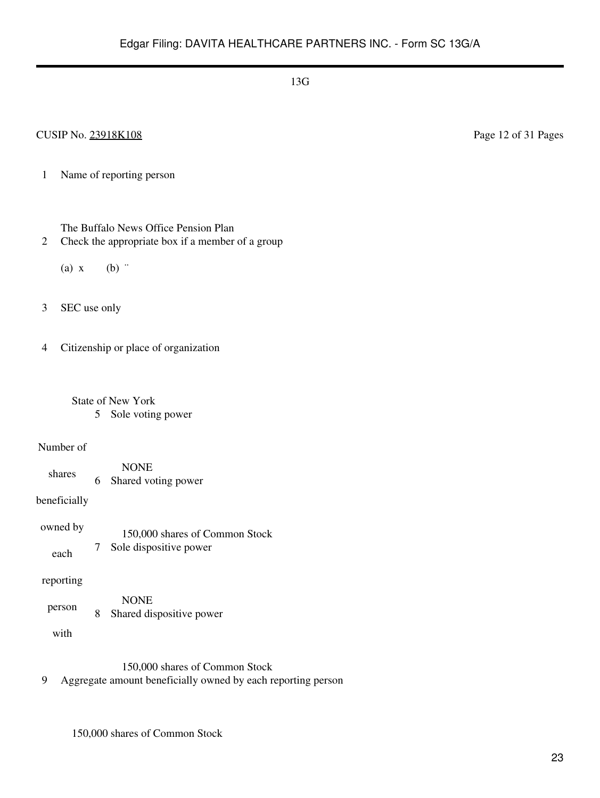### CUSIP No. 23918K108 Page 12 of 31 Pages

1 Name of reporting person

The Buffalo News Office Pension Plan

- 2 Check the appropriate box if a member of a group
	- (a)  $x$  (b)  $\dddot{ }$
- 3 SEC use only

4 Citizenship or place of organization

 State of New York 5 Sole voting power

#### Number of

shares NONE 6 Shared voting power

beneficially

owned by each 150,000 shares of Common Stock 7 Sole dispositive power

#### reporting

person NONE 8 Shared dispositive power

with

150,000 shares of Common Stock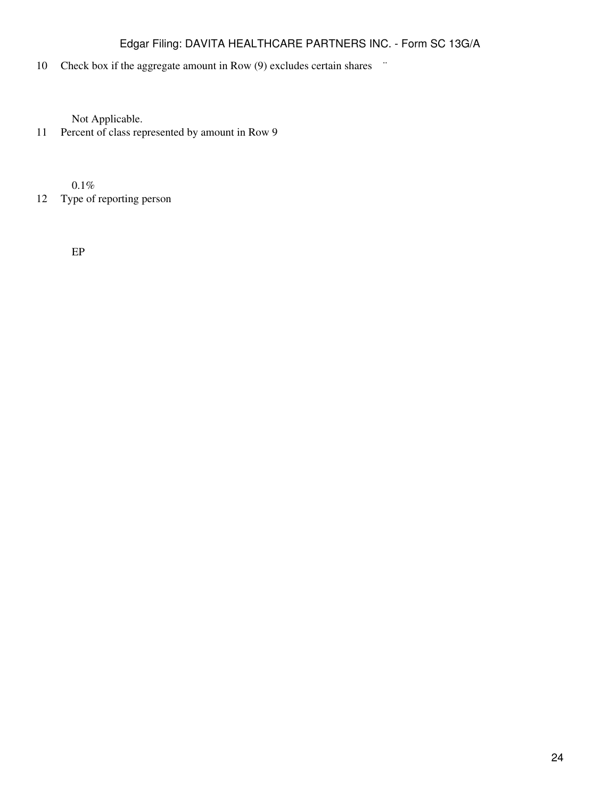# 10 Check box if the aggregate amount in Row (9) excludes certain shares  $\ddot{\,}$

Not Applicable.

11 Percent of class represented by amount in Row 9

0.1%

12 Type of reporting person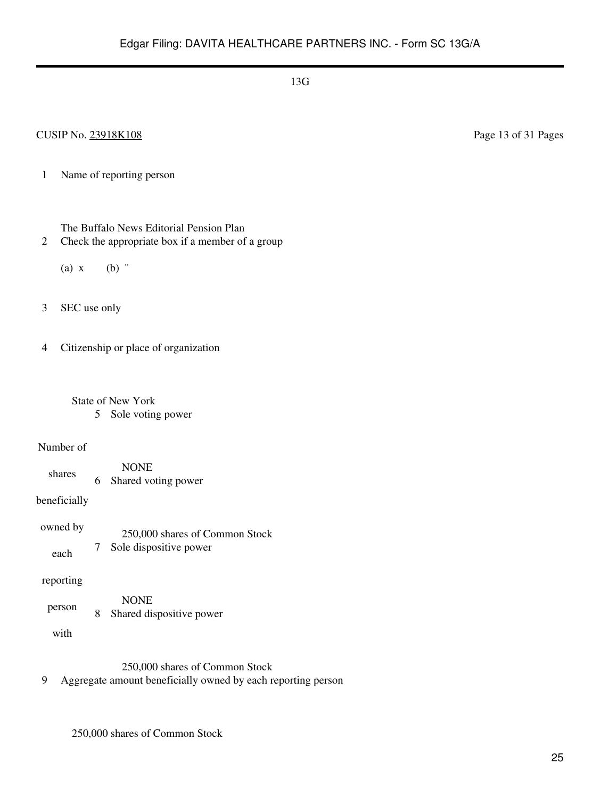### CUSIP No. 23918K108 Page 13 of 31 Pages

1 Name of reporting person

The Buffalo News Editorial Pension Plan

- 2 Check the appropriate box if a member of a group
	- (a)  $x$  (b)  $\dddot{ }$
- 3 SEC use only

4 Citizenship or place of organization

 State of New York 5 Sole voting power

#### Number of

shares NONE 6 Shared voting power

beneficially

owned by each 250,000 shares of Common Stock 7 Sole dispositive power

#### reporting

person NONE 8 Shared dispositive power

with

250,000 shares of Common Stock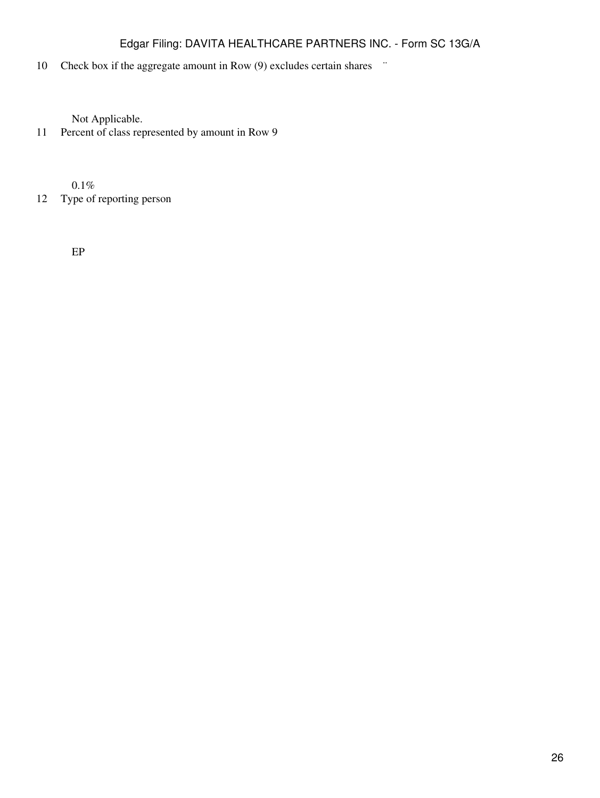# 10 Check box if the aggregate amount in Row (9) excludes certain shares  $\ddot{\,}$

Not Applicable.

11 Percent of class represented by amount in Row 9

0.1%

12 Type of reporting person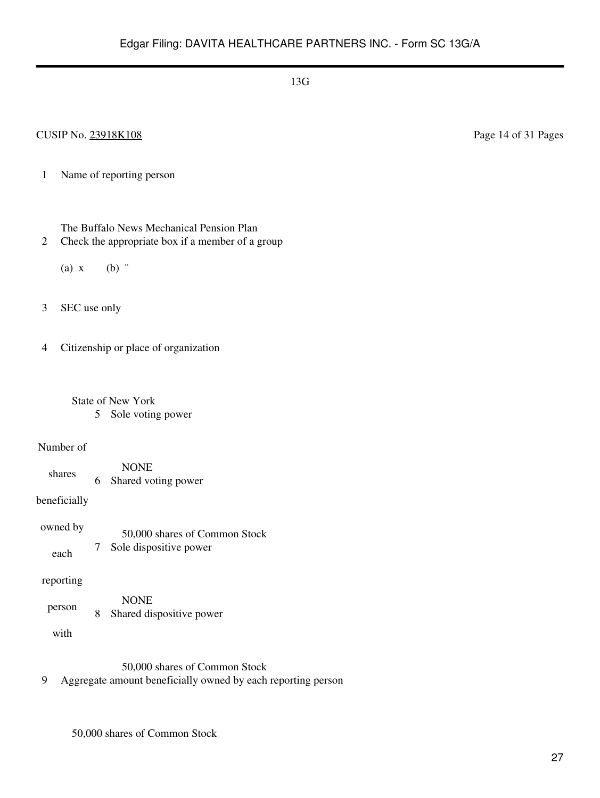### CUSIP No. 23918K108 Page 14 of 31 Pages

1 Name of reporting person

The Buffalo News Mechanical Pension Plan

- 2 Check the appropriate box if a member of a group
	- (a)  $x$  (b)  $\dddot{ }$
- 3 SEC use only

4 Citizenship or place of organization

 State of New York 5 Sole voting power

#### Number of

shares NONE 6 Shared voting power

beneficially

owned by each 50,000 shares of Common Stock 7 Sole dispositive power

#### reporting

person NONE 8 Shared dispositive power

with

50,000 shares of Common Stock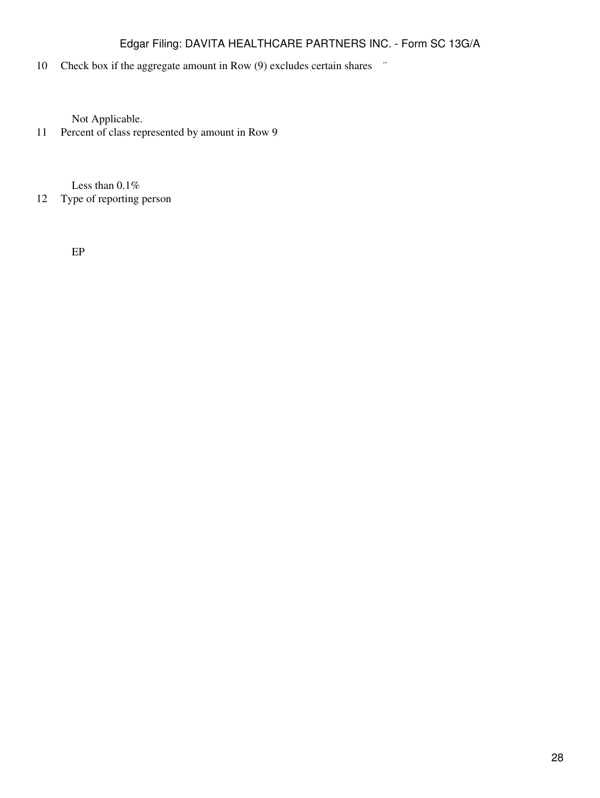# 10 Check box if the aggregate amount in Row (9) excludes certain shares  $\ddot{\,}$

Not Applicable.

11 Percent of class represented by amount in Row 9

Less than 0.1%

### 12 Type of reporting person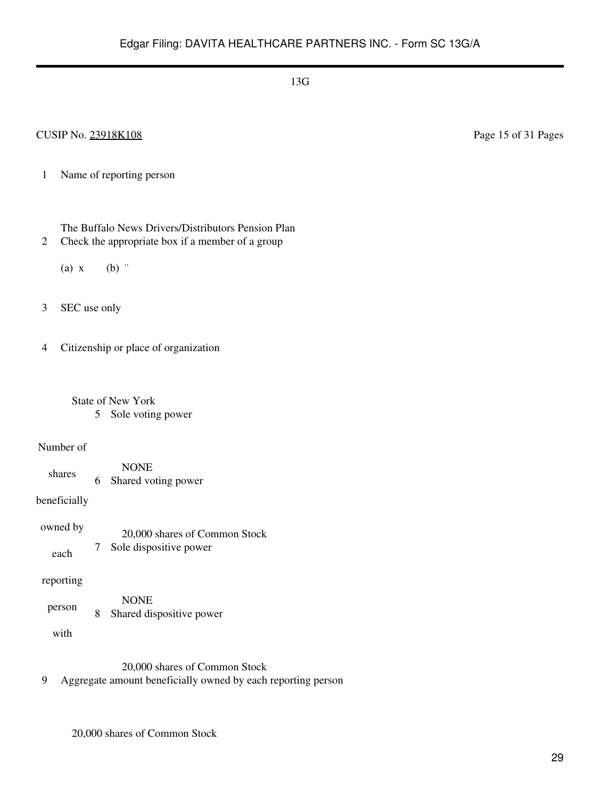### CUSIP No. 23918K108 Page 15 of 31 Pages

- 1 Name of reporting person
	- The Buffalo News Drivers/Distributors Pension Plan
- 2 Check the appropriate box if a member of a group
	- (a)  $x$  (b)  $\dddot{ }$
- 3 SEC use only
- 4 Citizenship or place of organization
	- State of New York 5 Sole voting power

#### Number of

- shares NONE 6 Shared voting power
- beneficially
- owned by each 20,000 shares of Common Stock 7 Sole dispositive power

#### reporting

person NONE 8 Shared dispositive power

with

20,000 shares of Common Stock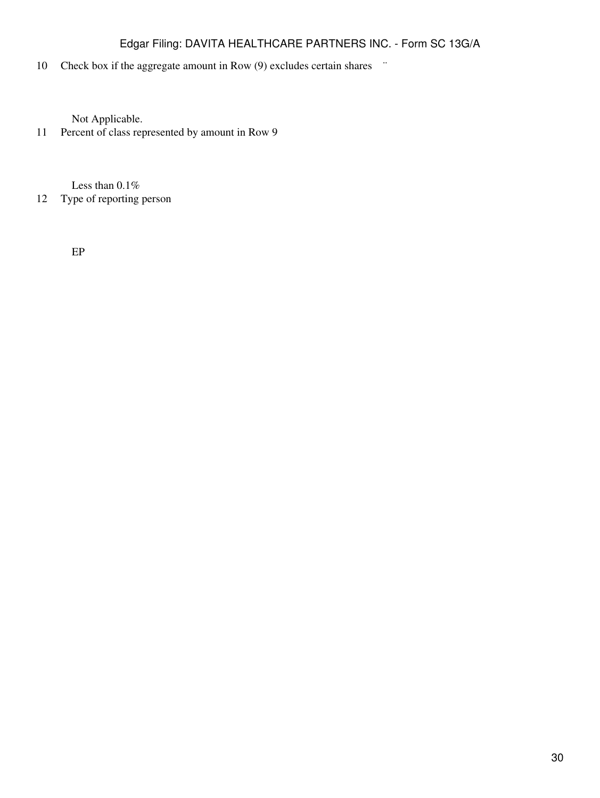# 10 Check box if the aggregate amount in Row (9) excludes certain shares  $\ddot{\,}$

Not Applicable.

11 Percent of class represented by amount in Row 9

Less than 0.1%

# 12 Type of reporting person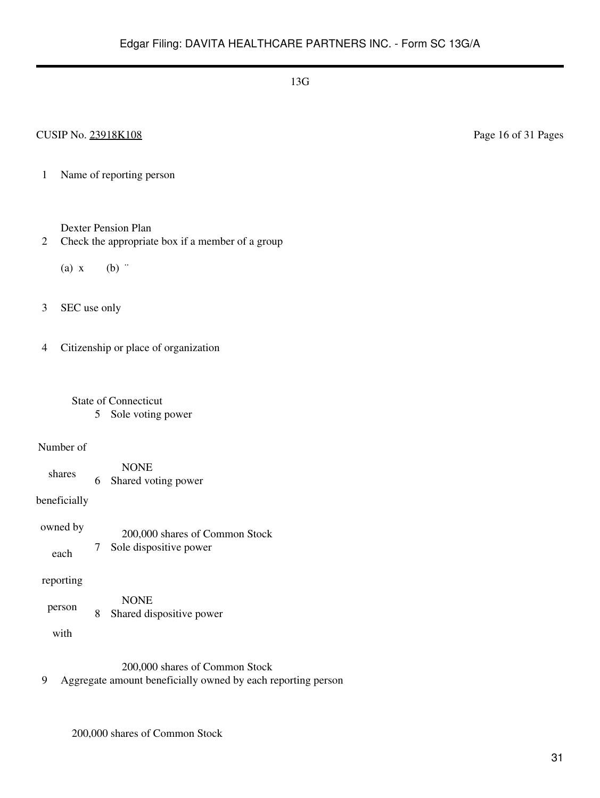1 Name of reporting person

Dexter Pension Plan

2 Check the appropriate box if a member of a group

(a)  $x$  (b)  $\dddot{ }$ 

3 SEC use only

4 Citizenship or place of organization

 State of Connecticut 5 Sole voting power

#### Number of

shares NONE 6 Shared voting power

beneficially

owned by each 200,000 shares of Common Stock 7 Sole dispositive power

reporting

person NONE 8 Shared dispositive power

with

200,000 shares of Common Stock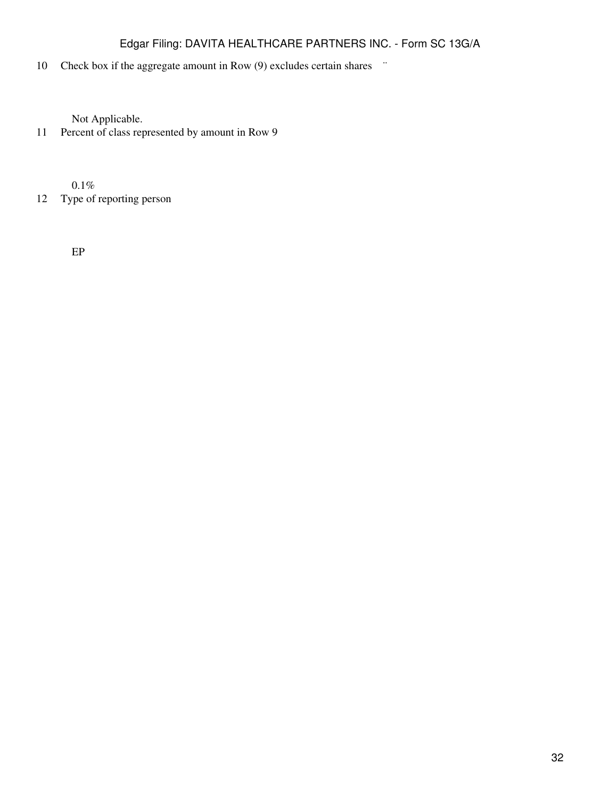# 10 Check box if the aggregate amount in Row (9) excludes certain shares  $\ddot{\,}$

Not Applicable.

11 Percent of class represented by amount in Row 9

0.1%

12 Type of reporting person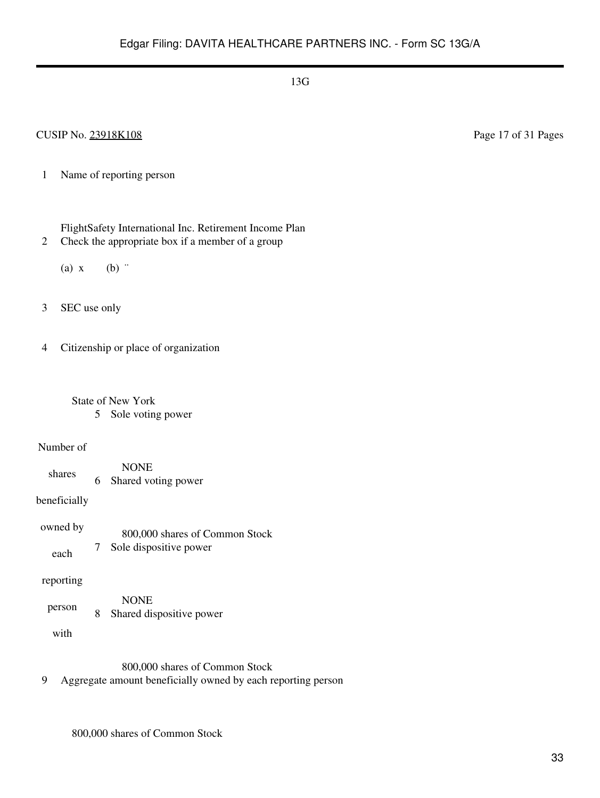### CUSIP No. 23918K108 Page 17 of 31 Pages

- 1 Name of reporting person
	- FlightSafety International Inc. Retirement Income Plan
- 2 Check the appropriate box if a member of a group
	- (a)  $x$  (b)  $\dddot{ }$
- 3 SEC use only
- 4 Citizenship or place of organization
	- State of New York 5 Sole voting power

#### Number of

- shares NONE 6 Shared voting power
- beneficially
- owned by each 800,000 shares of Common Stock 7 Sole dispositive power
- reporting
- person NONE 8 Shared dispositive power
	- with

800,000 shares of Common Stock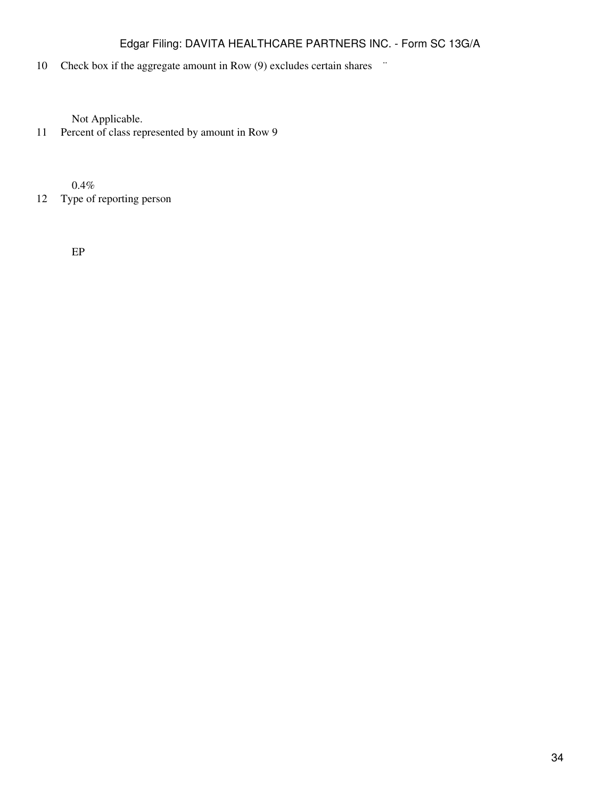# 10 Check box if the aggregate amount in Row (9) excludes certain shares  $\ddot{\,}$

Not Applicable.

11 Percent of class represented by amount in Row 9

0.4%

12 Type of reporting person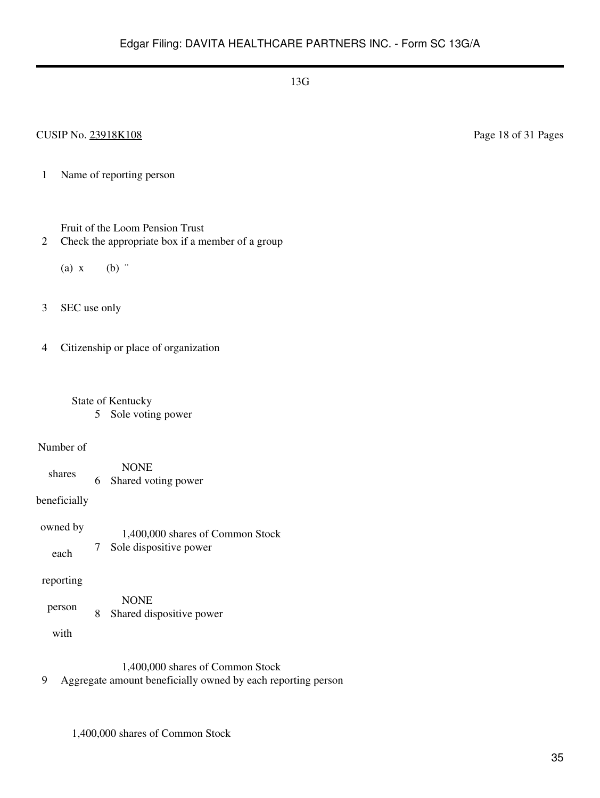### CUSIP No. 23918K108 Page 18 of 31 Pages

1 Name of reporting person

Fruit of the Loom Pension Trust

- 2 Check the appropriate box if a member of a group
	- (a)  $x$  (b)  $\dddot{ }$
- 3 SEC use only

4 Citizenship or place of organization

 State of Kentucky 5 Sole voting power

#### Number of

shares NONE 6 Shared voting power

beneficially

owned by each 1,400,000 shares of Common Stock 7 Sole dispositive power

reporting

person NONE 8 Shared dispositive power

with

1,400,000 shares of Common Stock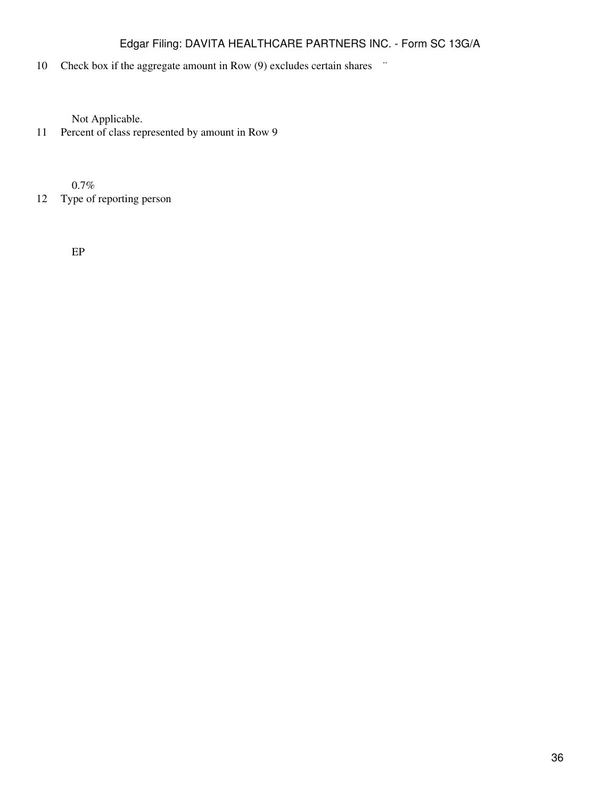# 10 Check box if the aggregate amount in Row (9) excludes certain shares  $\ddot{\,}$

Not Applicable.

11 Percent of class represented by amount in Row 9

0.7%

12 Type of reporting person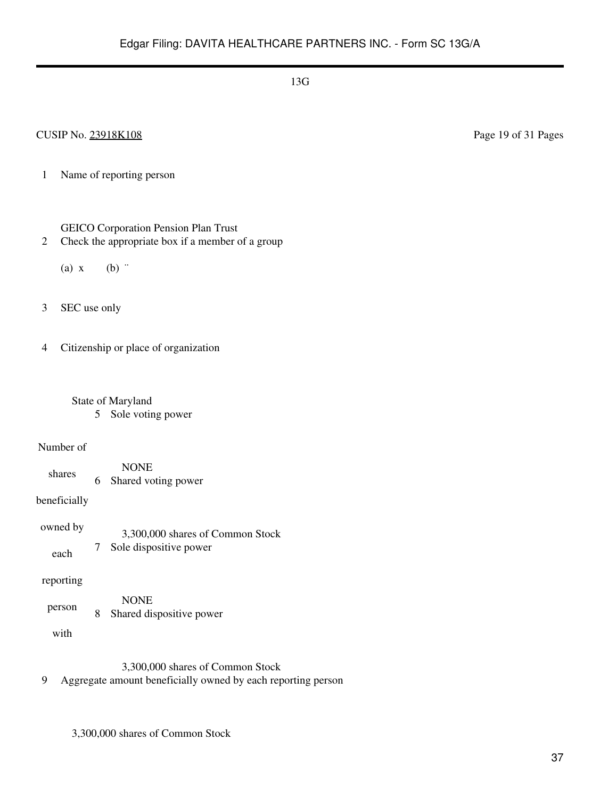### CUSIP No. 23918K108 Page 19 of 31 Pages

1 Name of reporting person

### GEICO Corporation Pension Plan Trust

- 2 Check the appropriate box if a member of a group
	- (a)  $x$  (b)  $\dddot{ }$
- 3 SEC use only

4 Citizenship or place of organization

 State of Maryland 5 Sole voting power

#### Number of

shares NONE 6 Shared voting power

beneficially

owned by each 3,300,000 shares of Common Stock 7 Sole dispositive power

#### reporting

person NONE 8 Shared dispositive power

with

3,300,000 shares of Common Stock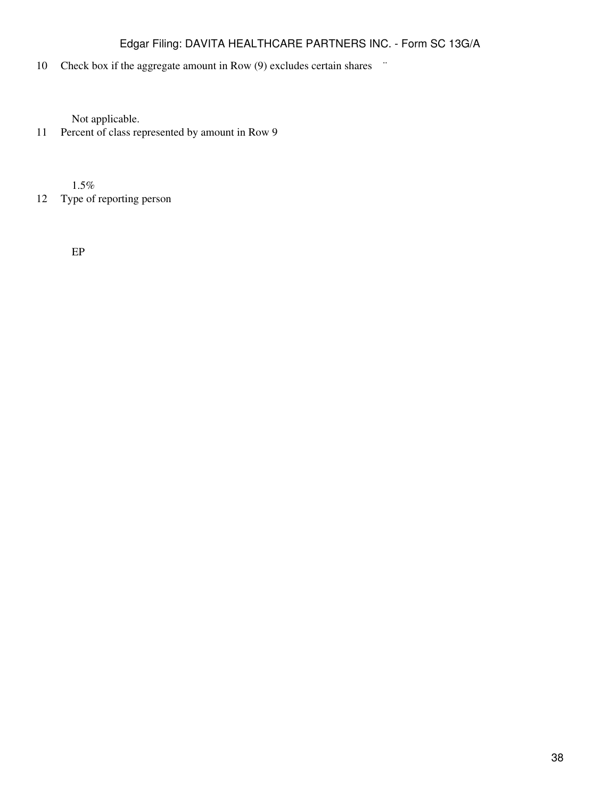# 10 Check box if the aggregate amount in Row (9) excludes certain shares  $\ddot{\,}$

Not applicable.

11 Percent of class represented by amount in Row 9

1.5%

12 Type of reporting person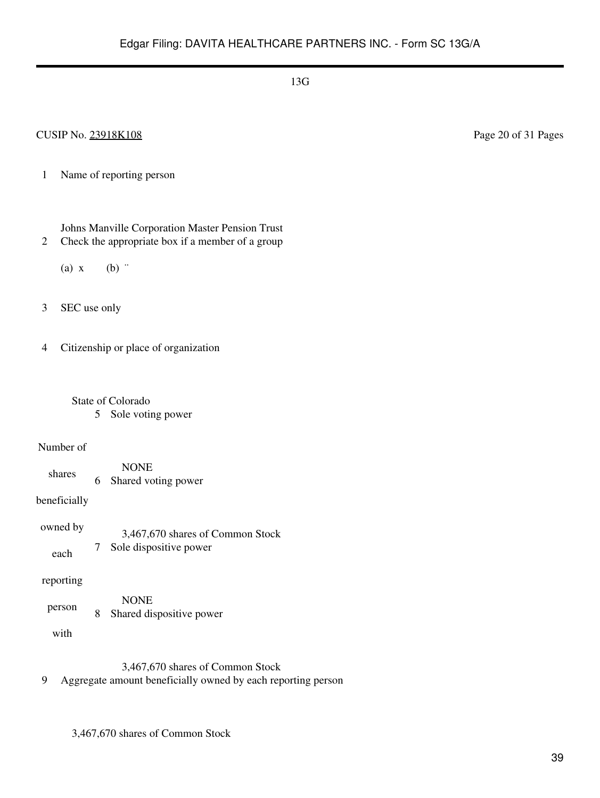### CUSIP No. 23918K108 Page 20 of 31 Pages

1 Name of reporting person

Johns Manville Corporation Master Pension Trust

- 2 Check the appropriate box if a member of a group
	- (a)  $x$  (b)  $\dddot{ }$
- 3 SEC use only

4 Citizenship or place of organization

 State of Colorado 5 Sole voting power

#### Number of

shares NONE 6 Shared voting power

beneficially

owned by each 3,467,670 shares of Common Stock 7 Sole dispositive power

#### reporting

person NONE 8 Shared dispositive power

with

3,467,670 shares of Common Stock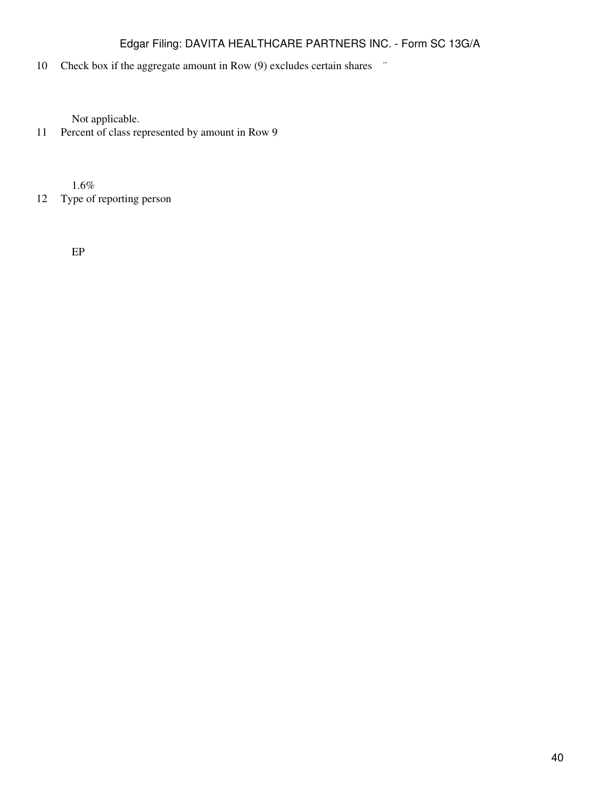# 10 Check box if the aggregate amount in Row (9) excludes certain shares  $\ddot{\,}$

Not applicable.

11 Percent of class represented by amount in Row 9

1.6%

12 Type of reporting person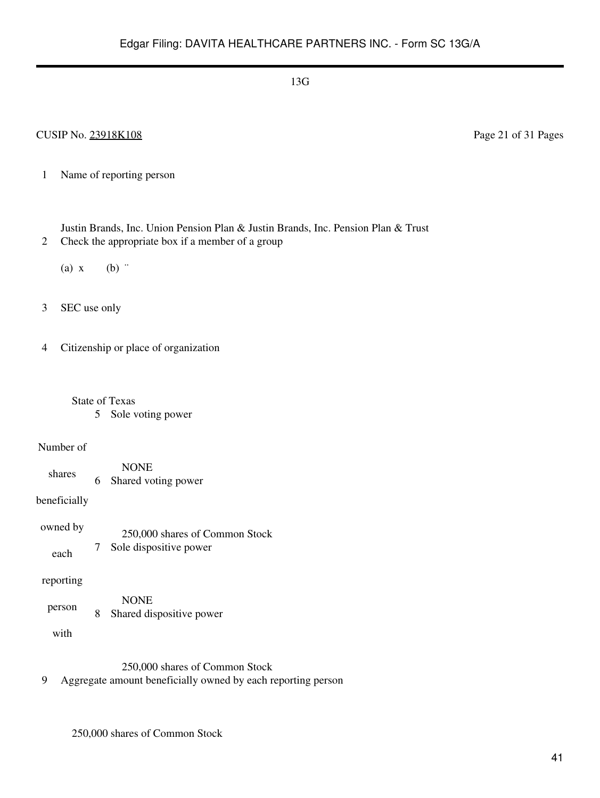### CUSIP No. 23918K108 Page 21 of 31 Pages

1 Name of reporting person

Justin Brands, Inc. Union Pension Plan & Justin Brands, Inc. Pension Plan & Trust

- 2 Check the appropriate box if a member of a group
	- (a)  $x$  (b)  $\dddot{ }$
- 3 SEC use only
- 4 Citizenship or place of organization
	- State of Texas
		- 5 Sole voting power

#### Number of

shares NONE 6 Shared voting power

beneficially

owned by each 250,000 shares of Common Stock 7 Sole dispositive power

### reporting

person NONE 8 Shared dispositive power

with

250,000 shares of Common Stock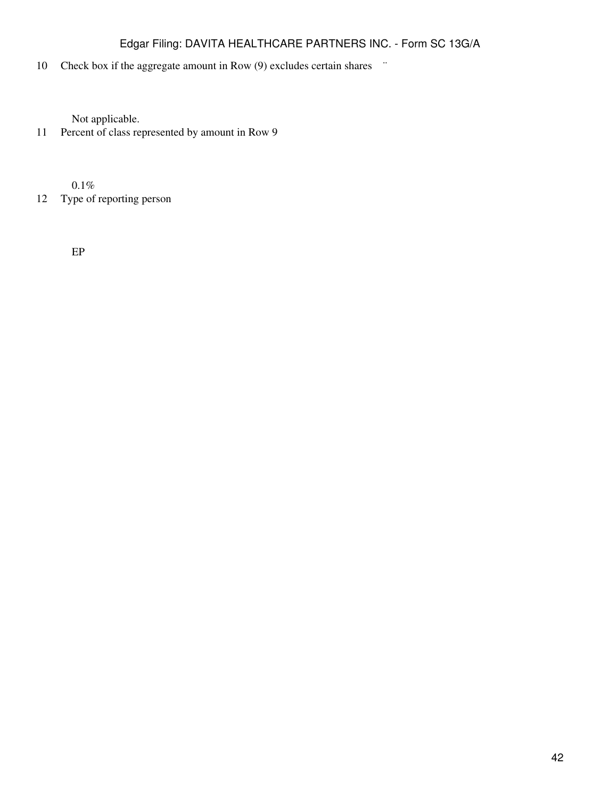# 10 Check box if the aggregate amount in Row (9) excludes certain shares  $\ddot{\,}$

Not applicable.

11 Percent of class represented by amount in Row 9

0.1%

12 Type of reporting person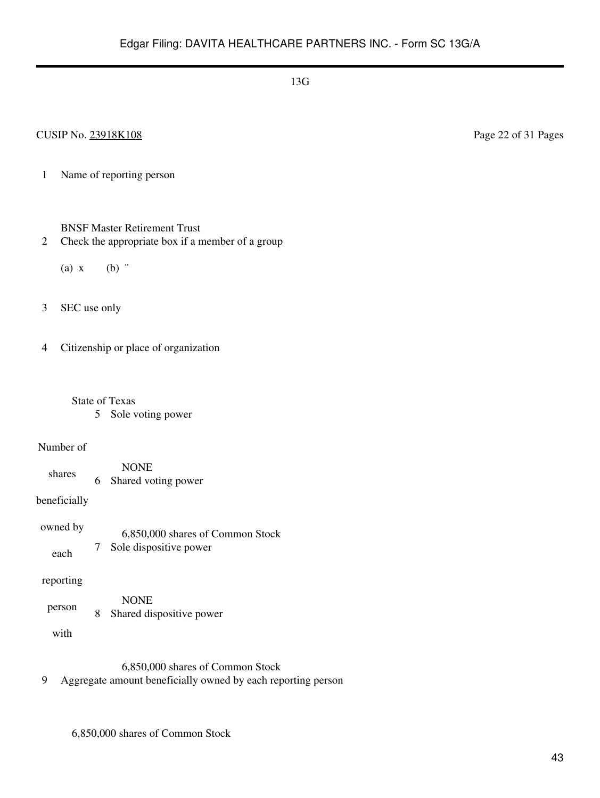### CUSIP No. 23918K108 Page 22 of 31 Pages

1 Name of reporting person

### BNSF Master Retirement Trust

- 2 Check the appropriate box if a member of a group
	- (a)  $x$  (b)  $\dddot{ }$
- 3 SEC use only

4 Citizenship or place of organization

- State of Texas
	- 5 Sole voting power

#### Number of

shares NONE 6 Shared voting power

beneficially

owned by each 6,850,000 shares of Common Stock 7 Sole dispositive power

### reporting

person NONE 8 Shared dispositive power

with

6,850,000 shares of Common Stock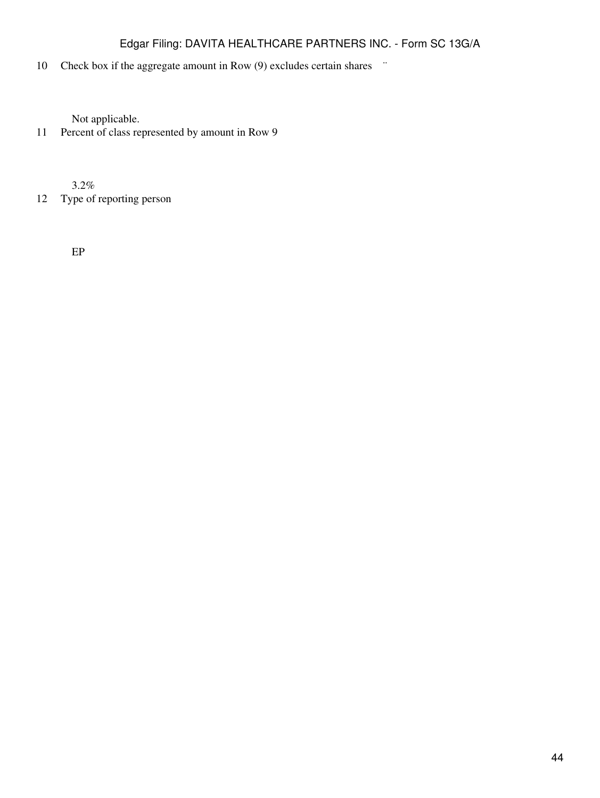# 10 Check box if the aggregate amount in Row (9) excludes certain shares  $\ddot{\,}$

Not applicable.

11 Percent of class represented by amount in Row 9

3.2%

12 Type of reporting person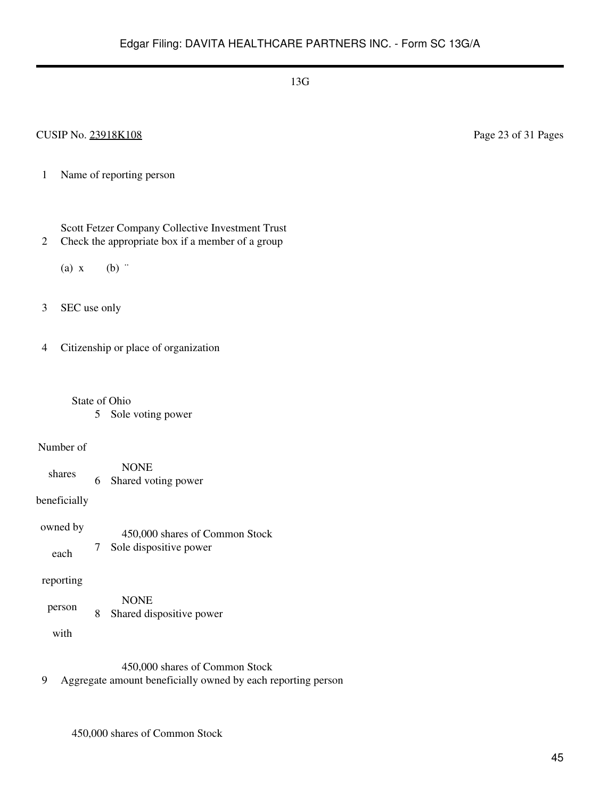### CUSIP No. 23918K108 Page 23 of 31 Pages

1 Name of reporting person

Scott Fetzer Company Collective Investment Trust

2 Check the appropriate box if a member of a group

(a)  $x$  (b)  $\dddot{ }$ 

3 SEC use only

4 Citizenship or place of organization

State of Ohio

5 Sole voting power

#### Number of

shares NONE 6 Shared voting power

beneficially

owned by each 450,000 shares of Common Stock 7 Sole dispositive power

reporting

person NONE 8 Shared dispositive power

with

450,000 shares of Common Stock

9 Aggregate amount beneficially owned by each reporting person

450,000 shares of Common Stock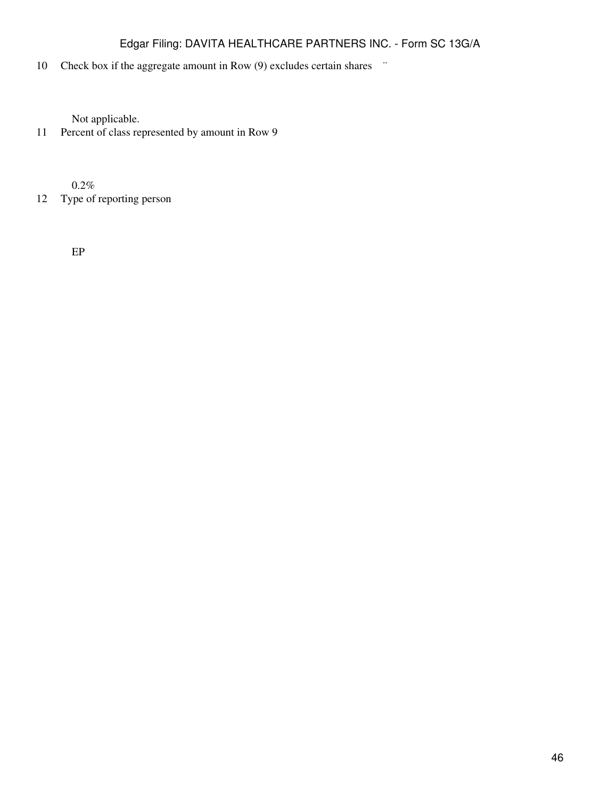# 10 Check box if the aggregate amount in Row (9) excludes certain shares  $\ddot{\,}$

Not applicable.

11 Percent of class represented by amount in Row 9

0.2%

12 Type of reporting person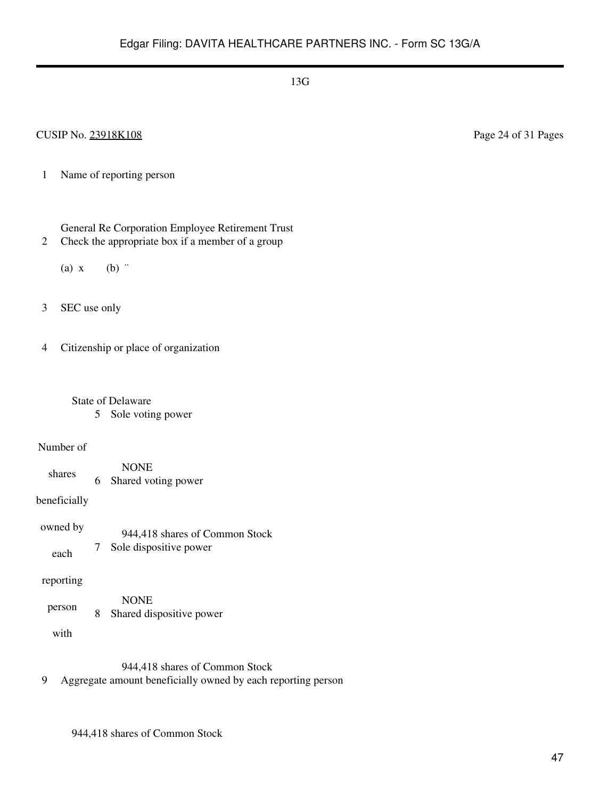### CUSIP No. 23918K108 Page 24 of 31 Pages

- 1 Name of reporting person
	- General Re Corporation Employee Retirement Trust
- 2 Check the appropriate box if a member of a group
	- (a)  $x$  (b)  $\dddot{ }$
- 3 SEC use only
- 4 Citizenship or place of organization
	- State of Delaware 5 Sole voting power
- Number of
	- shares NONE 6 Shared voting power
- beneficially
- owned by each 944,418 shares of Common Stock 7 Sole dispositive power
- reporting
- person NONE 8 Shared dispositive power
	- with
- 944,418 shares of Common Stock
- 9 Aggregate amount beneficially owned by each reporting person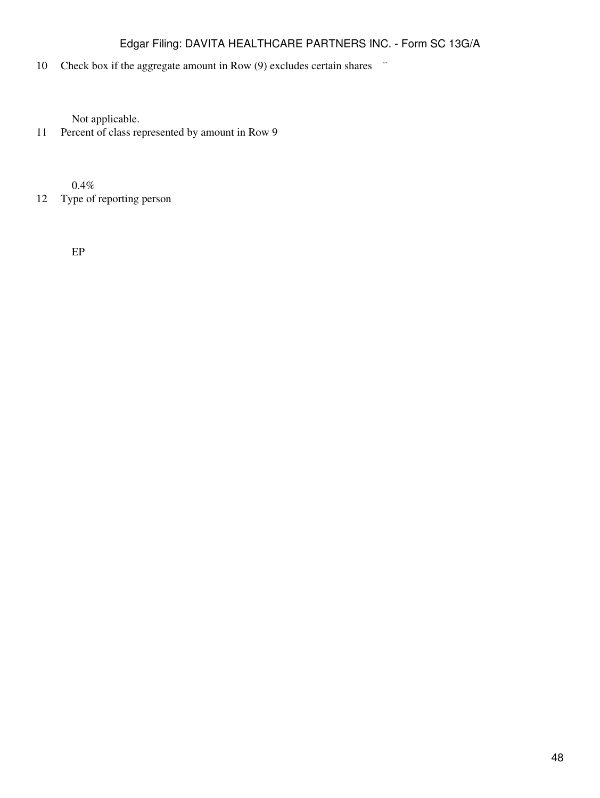# 10 Check box if the aggregate amount in Row (9) excludes certain shares  $\ddot{\,}$

Not applicable.

11 Percent of class represented by amount in Row 9

0.4%

12 Type of reporting person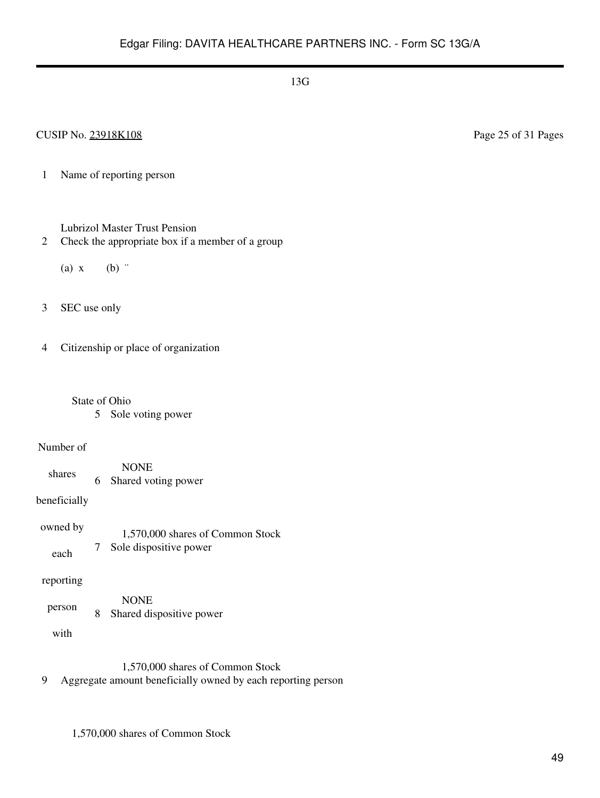### CUSIP No. 23918K108 Page 25 of 31 Pages

- 1 Name of reporting person
	- Lubrizol Master Trust Pension
- 2 Check the appropriate box if a member of a group
	- (a)  $x$  (b)  $\dddot{ }$
- 3 SEC use only
- 4 Citizenship or place of organization
	- State of Ohio
		- 5 Sole voting power

#### Number of

- shares NONE 6 Shared voting power
- beneficially
- owned by each 1,570,000 shares of Common Stock 7 Sole dispositive power

### reporting

person NONE 8 Shared dispositive power

with

- 1,570,000 shares of Common Stock
- 9 Aggregate amount beneficially owned by each reporting person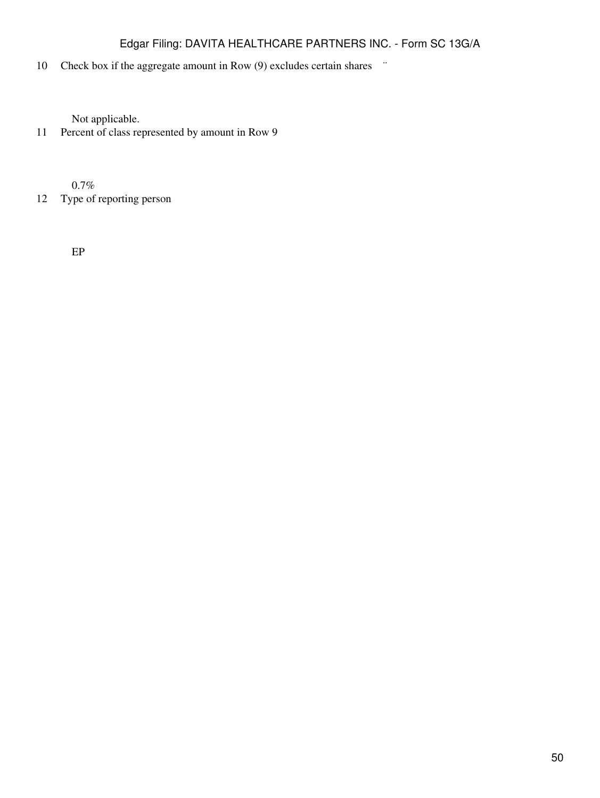# 10 Check box if the aggregate amount in Row (9) excludes certain shares  $\ddot{\,}$

Not applicable.

11 Percent of class represented by amount in Row 9

0.7%

12 Type of reporting person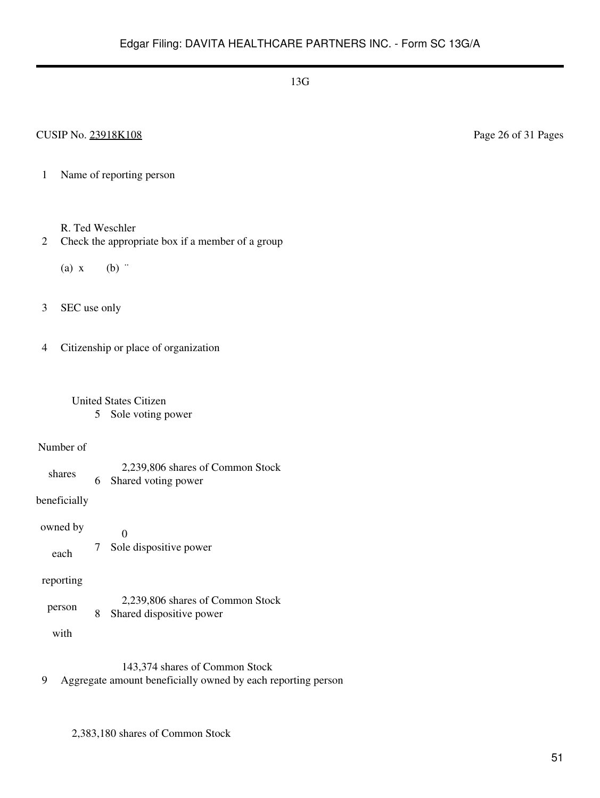CUSIP No. 23918K108 Page 26 of 31 Pages

- 1 Name of reporting person
	- R. Ted Weschler
- 2 Check the appropriate box if a member of a group
	- (a)  $x$  (b)  $\dddot{ }$
- 3 SEC use only

4 Citizenship or place of organization

# United States Citizen

5 Sole voting power

#### Number of

shares 2,239,806 shares of Common Stock 6 Shared voting power

beneficially

owned by each 0 7 Sole dispositive power

### reporting

person 2,239,806 shares of Common Stock 8 Shared dispositive power

with

143,374 shares of Common Stock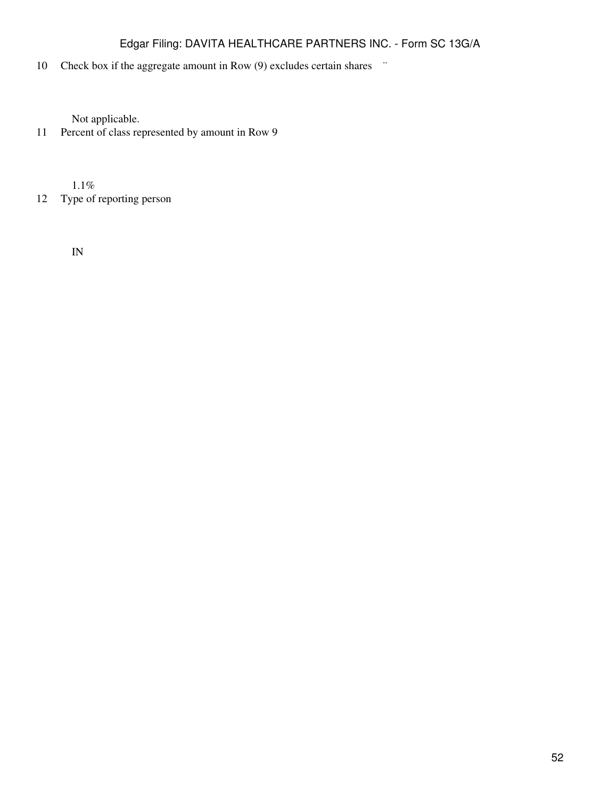# 10 Check box if the aggregate amount in Row (9) excludes certain shares  $\ddot{\,}$

Not applicable.

11 Percent of class represented by amount in Row 9

1.1%

12 Type of reporting person

IN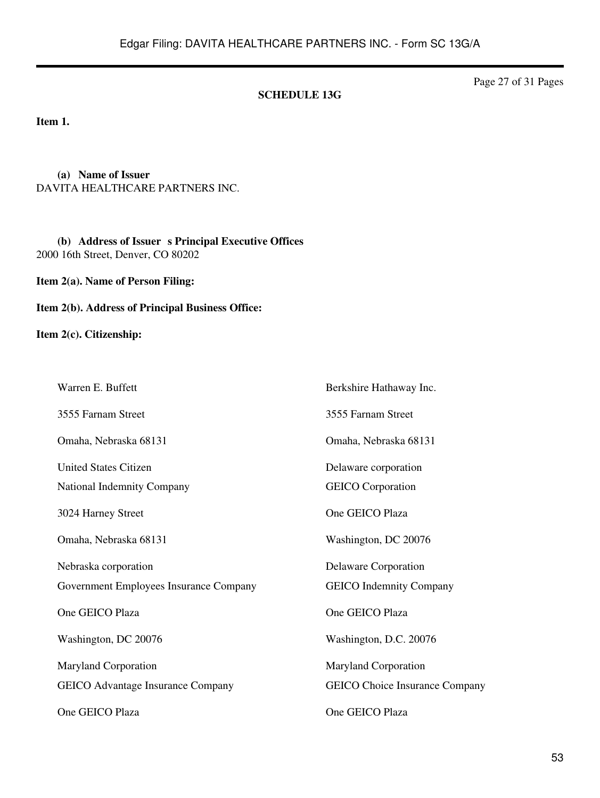#### **SCHEDULE 13G**

Page 27 of 31 Pages

**Item 1.**

**(a) Name of Issuer** DAVITA HEALTHCARE PARTNERS INC.

**(b) Address of Issuer s Principal Executive Offices** 2000 16th Street, Denver, CO 80202

**Item 2(a). Name of Person Filing:**

**Item 2(b). Address of Principal Business Office:**

**Item 2(c). Citizenship:**

Warren E. Buffett 3555 Farnam Street Omaha, Nebraska 68131 United States Citizen Berkshire Hathaway Inc. 3555 Farnam Street Omaha, Nebraska 68131 Delaware corporation National Indemnity Company 3024 Harney Street Omaha, Nebraska 68131 Nebraska corporation GEICO Corporation One GEICO Plaza Washington, DC 20076 Delaware Corporation Government Employees Insurance Company One GEICO Plaza Washington, DC 20076 Maryland Corporation GEICO Indemnity Company One GEICO Plaza Washington, D.C. 20076 Maryland Corporation GEICO Advantage Insurance Company One GEICO Plaza GEICO Choice Insurance Company One GEICO Plaza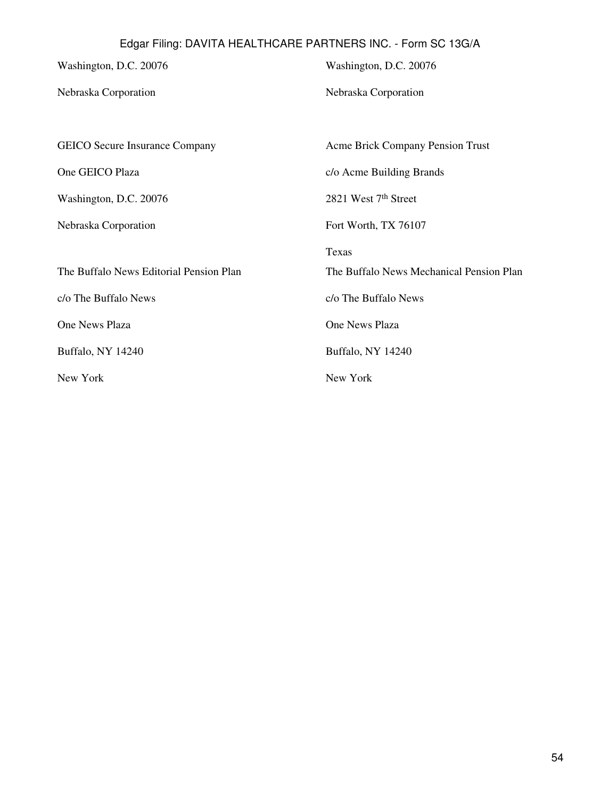Washington, D.C. 20076 Nebraska Corporation GEICO Secure Insurance Company One GEICO Plaza Washington, D.C. 20076 Nebraska Corporation Washington, D.C. 20076 Nebraska Corporation Acme Brick Company Pension Trust c/o Acme Building Brands 2821 West 7th Street Fort Worth, TX 76107 Texas The Buffalo News Editorial Pension Plan c/o The Buffalo News One News Plaza Buffalo, NY 14240 New York The Buffalo News Mechanical Pension Plan c/o The Buffalo News One News Plaza Buffalo, NY 14240 New York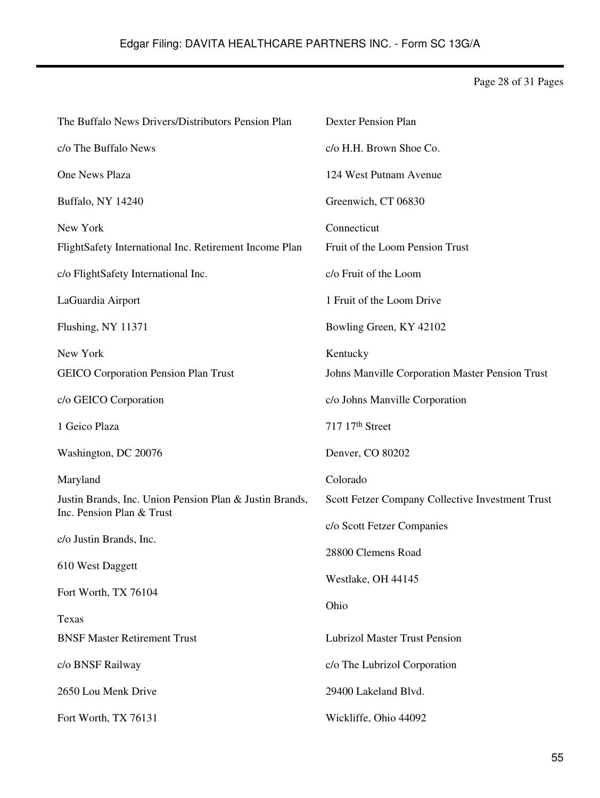Page 28 of 31 Pages

| The Buffalo News Drivers/Distributors Pension Plan      | <b>Dexter Pension Plan</b>                       |
|---------------------------------------------------------|--------------------------------------------------|
| c/o The Buffalo News                                    | c/o H.H. Brown Shoe Co.                          |
| <b>One News Plaza</b>                                   | 124 West Putnam Avenue                           |
| Buffalo, NY 14240                                       | Greenwich, CT 06830                              |
| New York                                                | Connecticut                                      |
| FlightSafety International Inc. Retirement Income Plan  | Fruit of the Loom Pension Trust                  |
| c/o FlightSafety International Inc.                     | c/o Fruit of the Loom                            |
| LaGuardia Airport                                       | 1 Fruit of the Loom Drive                        |
| Flushing, NY 11371                                      | Bowling Green, KY 42102                          |
| New York                                                | Kentucky                                         |
| <b>GEICO</b> Corporation Pension Plan Trust             | Johns Manville Corporation Master Pension Trust  |
| c/o GEICO Corporation                                   | c/o Johns Manville Corporation                   |
| 1 Geico Plaza                                           | 717 17th Street                                  |
|                                                         |                                                  |
| Washington, DC 20076                                    | Denver, CO 80202                                 |
| Maryland                                                | Colorado                                         |
| Justin Brands, Inc. Union Pension Plan & Justin Brands, | Scott Fetzer Company Collective Investment Trust |
| Inc. Pension Plan & Trust                               | c/o Scott Fetzer Companies                       |
| c/o Justin Brands, Inc.                                 | 28800 Clemens Road                               |
| 610 West Daggett                                        |                                                  |
| Fort Worth, TX 76104                                    | Westlake, OH 44145                               |
|                                                         | Ohio                                             |
| Texas<br><b>BNSF Master Retirement Trust</b>            | <b>Lubrizol Master Trust Pension</b>             |
| c/o BNSF Railway                                        | c/o The Lubrizol Corporation                     |
| 2650 Lou Menk Drive                                     | 29400 Lakeland Blvd.                             |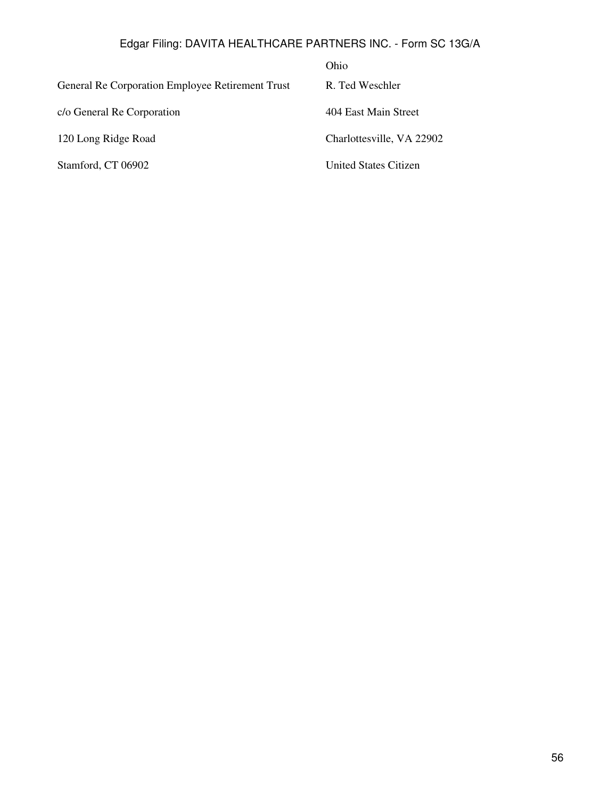|                                                  | Ohio                         |
|--------------------------------------------------|------------------------------|
| General Re Corporation Employee Retirement Trust | R. Ted Weschler              |
| c/o General Re Corporation                       | 404 East Main Street         |
| 120 Long Ridge Road                              | Charlottesville, VA 22902    |
| Stamford, CT 06902                               | <b>United States Citizen</b> |
|                                                  |                              |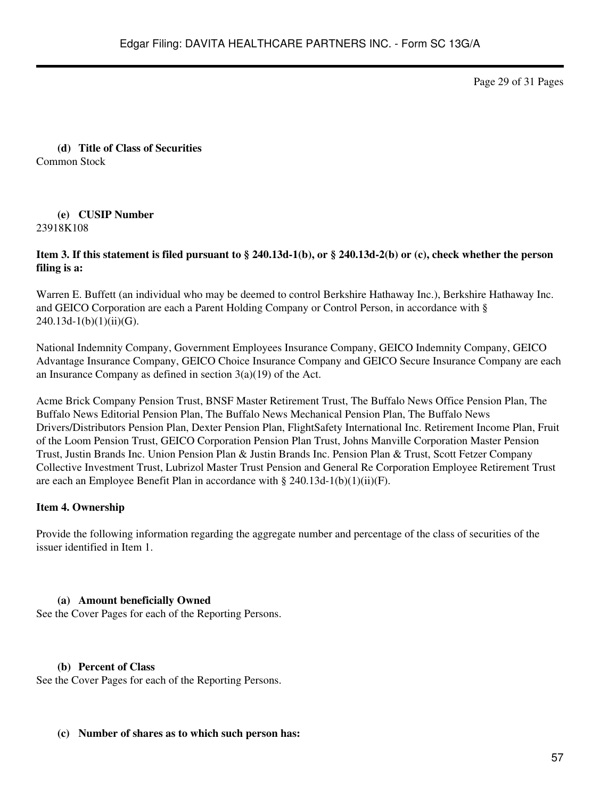Page 29 of 31 Pages

**(d) Title of Class of Securities** Common Stock

#### **(e) CUSIP Number** 23918K108

### **Item 3. If this statement is filed pursuant to § 240.13d-1(b), or § 240.13d-2(b) or (c), check whether the person filing is a:**

Warren E. Buffett (an individual who may be deemed to control Berkshire Hathaway Inc.), Berkshire Hathaway Inc. and GEICO Corporation are each a Parent Holding Company or Control Person, in accordance with §  $240.13d-1(b)(1)(ii)(G)$ .

National Indemnity Company, Government Employees Insurance Company, GEICO Indemnity Company, GEICO Advantage Insurance Company, GEICO Choice Insurance Company and GEICO Secure Insurance Company are each an Insurance Company as defined in section 3(a)(19) of the Act.

Acme Brick Company Pension Trust, BNSF Master Retirement Trust, The Buffalo News Office Pension Plan, The Buffalo News Editorial Pension Plan, The Buffalo News Mechanical Pension Plan, The Buffalo News Drivers/Distributors Pension Plan, Dexter Pension Plan, FlightSafety International Inc. Retirement Income Plan, Fruit of the Loom Pension Trust, GEICO Corporation Pension Plan Trust, Johns Manville Corporation Master Pension Trust, Justin Brands Inc. Union Pension Plan & Justin Brands Inc. Pension Plan & Trust, Scott Fetzer Company Collective Investment Trust, Lubrizol Master Trust Pension and General Re Corporation Employee Retirement Trust are each an Employee Benefit Plan in accordance with § 240.13d-1(b)(1)(ii)(F).

### **Item 4. Ownership**

Provide the following information regarding the aggregate number and percentage of the class of securities of the issuer identified in Item 1.

#### **(a) Amount beneficially Owned**

See the Cover Pages for each of the Reporting Persons.

#### **(b) Percent of Class**

See the Cover Pages for each of the Reporting Persons.

#### **(c) Number of shares as to which such person has:**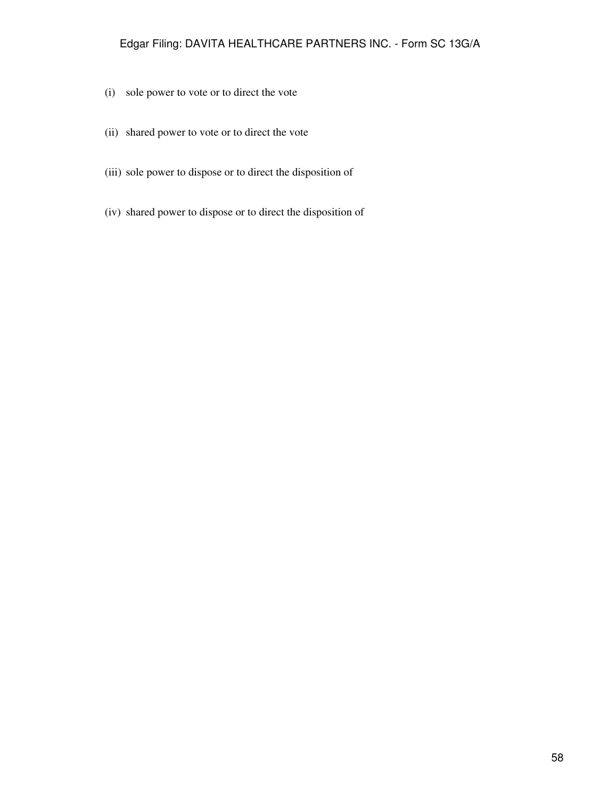- (i) sole power to vote or to direct the vote
- (ii) shared power to vote or to direct the vote
- (iii) sole power to dispose or to direct the disposition of
- (iv) shared power to dispose or to direct the disposition of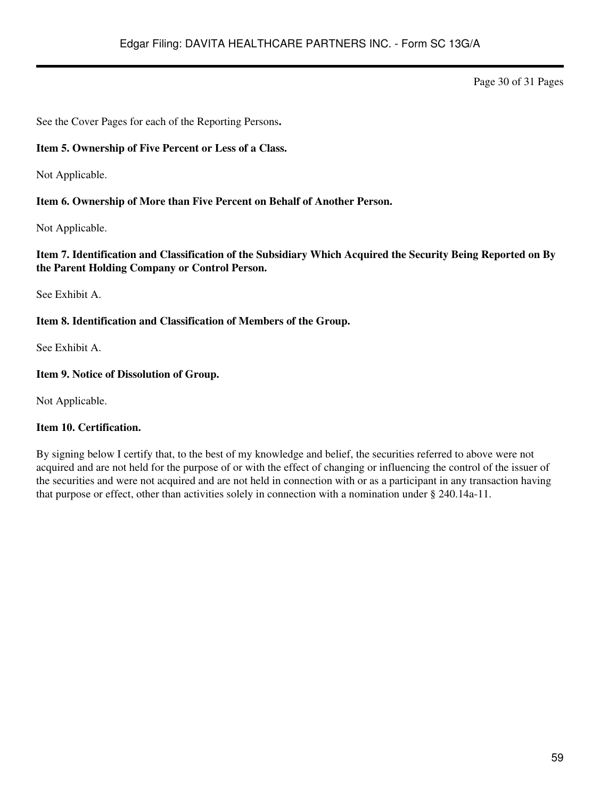Page 30 of 31 Pages

See the Cover Pages for each of the Reporting Persons**.**

### **Item 5. Ownership of Five Percent or Less of a Class.**

Not Applicable.

### **Item 6. Ownership of More than Five Percent on Behalf of Another Person.**

Not Applicable.

### **Item 7. Identification and Classification of the Subsidiary Which Acquired the Security Being Reported on By the Parent Holding Company or Control Person.**

See Exhibit A.

### **Item 8. Identification and Classification of Members of the Group.**

See Exhibit A.

### **Item 9. Notice of Dissolution of Group.**

Not Applicable.

# **Item 10. Certification.**

By signing below I certify that, to the best of my knowledge and belief, the securities referred to above were not acquired and are not held for the purpose of or with the effect of changing or influencing the control of the issuer of the securities and were not acquired and are not held in connection with or as a participant in any transaction having that purpose or effect, other than activities solely in connection with a nomination under § 240.14a-11.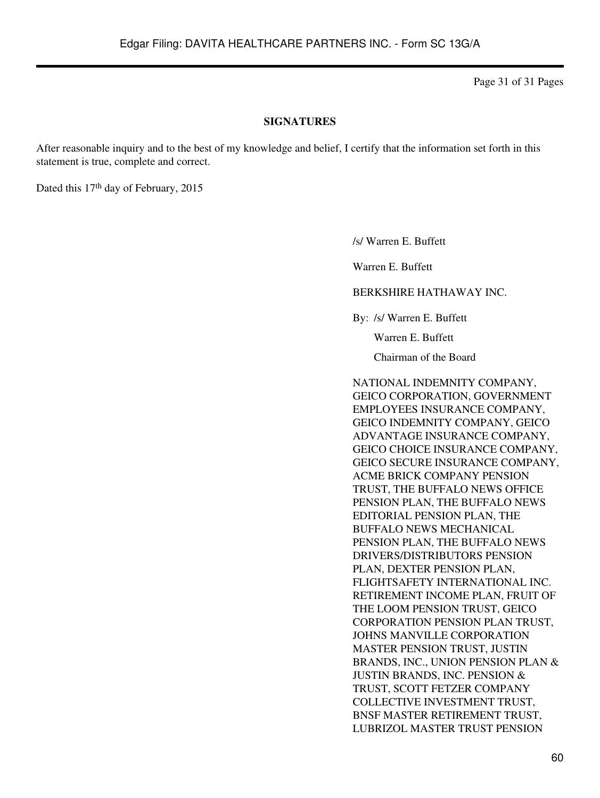Page 31 of 31 Pages

#### **SIGNATURES**

After reasonable inquiry and to the best of my knowledge and belief, I certify that the information set forth in this statement is true, complete and correct.

Dated this 17<sup>th</sup> day of February, 2015

/s/ Warren E. Buffett

Warren E. Buffett

BERKSHIRE HATHAWAY INC.

By: /s/ Warren E. Buffett

Warren E. Buffett

Chairman of the Board

NATIONAL INDEMNITY COMPANY, GEICO CORPORATION, GOVERNMENT EMPLOYEES INSURANCE COMPANY, GEICO INDEMNITY COMPANY, GEICO ADVANTAGE INSURANCE COMPANY, GEICO CHOICE INSURANCE COMPANY, GEICO SECURE INSURANCE COMPANY, ACME BRICK COMPANY PENSION TRUST, THE BUFFALO NEWS OFFICE PENSION PLAN, THE BUFFALO NEWS EDITORIAL PENSION PLAN, THE BUFFALO NEWS MECHANICAL PENSION PLAN, THE BUFFALO NEWS DRIVERS/DISTRIBUTORS PENSION PLAN, DEXTER PENSION PLAN, FLIGHTSAFETY INTERNATIONAL INC. RETIREMENT INCOME PLAN, FRUIT OF THE LOOM PENSION TRUST, GEICO CORPORATION PENSION PLAN TRUST, JOHNS MANVILLE CORPORATION MASTER PENSION TRUST, JUSTIN BRANDS, INC., UNION PENSION PLAN & JUSTIN BRANDS, INC. PENSION & TRUST, SCOTT FETZER COMPANY COLLECTIVE INVESTMENT TRUST, BNSF MASTER RETIREMENT TRUST, LUBRIZOL MASTER TRUST PENSION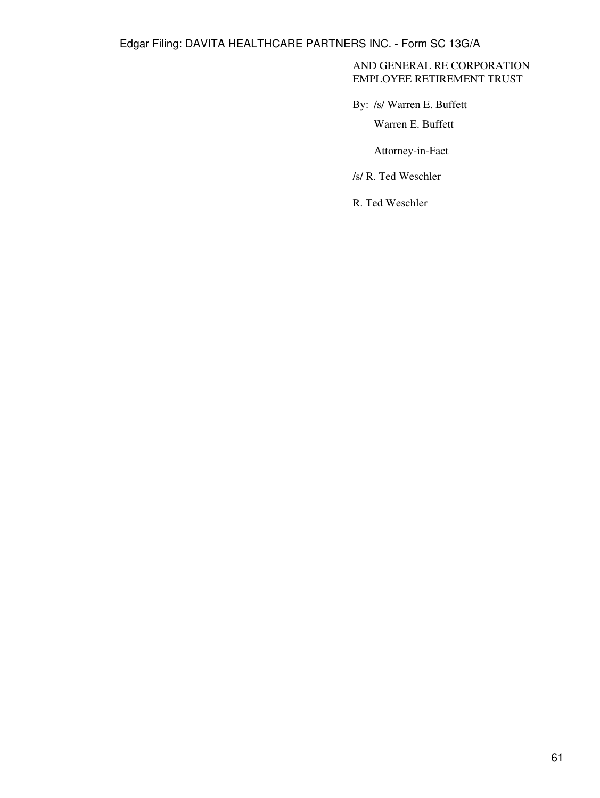### AND GENERAL RE CORPORATION EMPLOYEE RETIREMENT TRUST

By: /s/ Warren E. Buffett

Warren E. Buffett

Attorney-in-Fact

/s/ R. Ted Weschler

R. Ted Weschler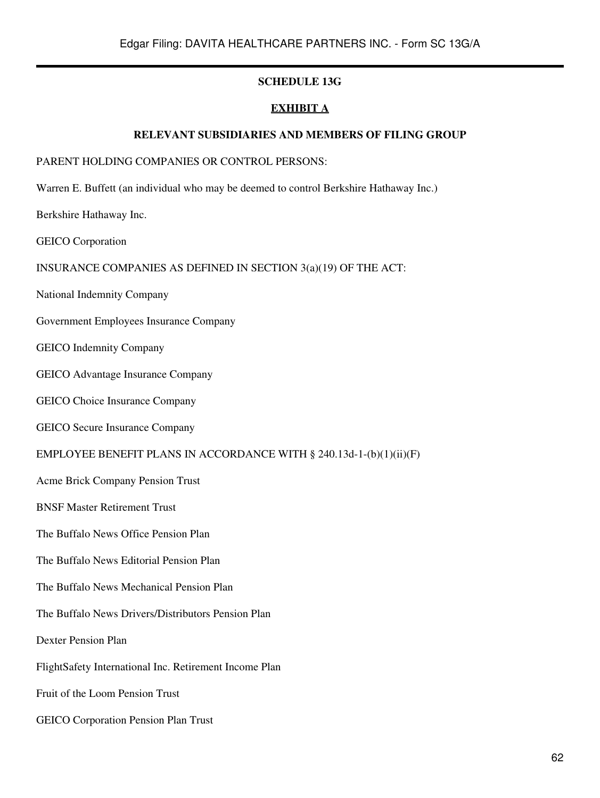### **SCHEDULE 13G**

# **EXHIBIT A**

### **RELEVANT SUBSIDIARIES AND MEMBERS OF FILING GROUP**

### PARENT HOLDING COMPANIES OR CONTROL PERSONS:

Warren E. Buffett (an individual who may be deemed to control Berkshire Hathaway Inc.)

Berkshire Hathaway Inc.

GEICO Corporation

INSURANCE COMPANIES AS DEFINED IN SECTION 3(a)(19) OF THE ACT:

National Indemnity Company

Government Employees Insurance Company

GEICO Indemnity Company

GEICO Advantage Insurance Company

GEICO Choice Insurance Company

GEICO Secure Insurance Company

#### EMPLOYEE BENEFIT PLANS IN ACCORDANCE WITH § 240.13d-1-(b)(1)(ii)(F)

Acme Brick Company Pension Trust

BNSF Master Retirement Trust

The Buffalo News Office Pension Plan

The Buffalo News Editorial Pension Plan

The Buffalo News Mechanical Pension Plan

The Buffalo News Drivers/Distributors Pension Plan

Dexter Pension Plan

FlightSafety International Inc. Retirement Income Plan

Fruit of the Loom Pension Trust

GEICO Corporation Pension Plan Trust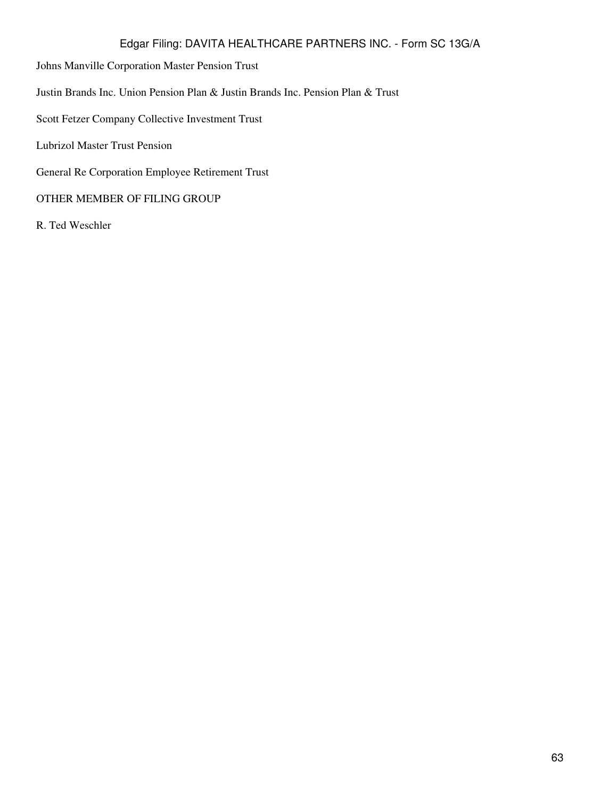- Johns Manville Corporation Master Pension Trust
- Justin Brands Inc. Union Pension Plan & Justin Brands Inc. Pension Plan & Trust
- Scott Fetzer Company Collective Investment Trust
- Lubrizol Master Trust Pension
- General Re Corporation Employee Retirement Trust

### OTHER MEMBER OF FILING GROUP

R. Ted Weschler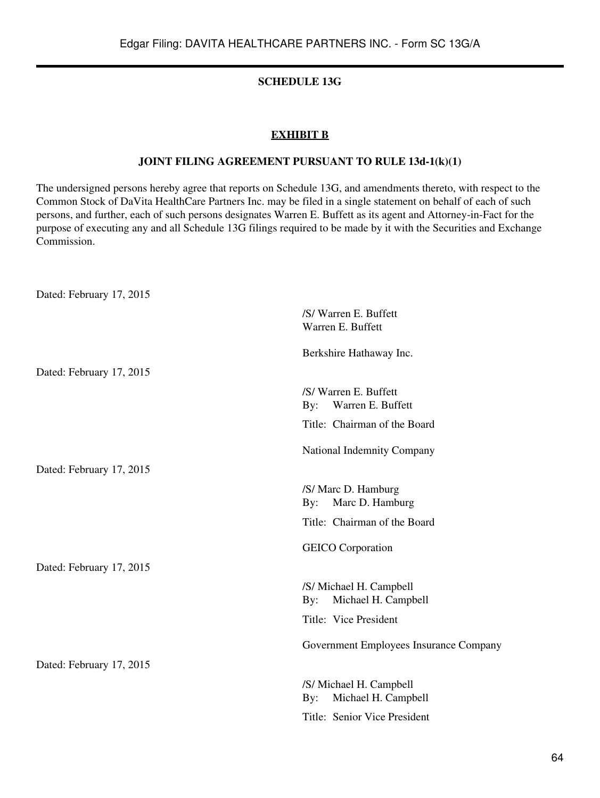# **SCHEDULE 13G**

## **EXHIBIT B**

### **JOINT FILING AGREEMENT PURSUANT TO RULE 13d-1(k)(1)**

The undersigned persons hereby agree that reports on Schedule 13G, and amendments thereto, with respect to the Common Stock of DaVita HealthCare Partners Inc. may be filed in a single statement on behalf of each of such persons, and further, each of such persons designates Warren E. Buffett as its agent and Attorney-in-Fact for the purpose of executing any and all Schedule 13G filings required to be made by it with the Securities and Exchange Commission.

Dated: February 17, 2015 /S/ Warren E. Buffett Warren E. Buffett Berkshire Hathaway Inc. Dated: February 17, 2015 /S/ Warren E. Buffett By: Warren E. Buffett Title: Chairman of the Board National Indemnity Company Dated: February 17, 2015 /S/ Marc D. Hamburg By: Marc D. Hamburg Title: Chairman of the Board GEICO Corporation Dated: February 17, 2015 /S/ Michael H. Campbell By: Michael H. Campbell Title: Vice President Government Employees Insurance Company Dated: February 17, 2015 /S/ Michael H. Campbell By: Michael H. Campbell Title: Senior Vice President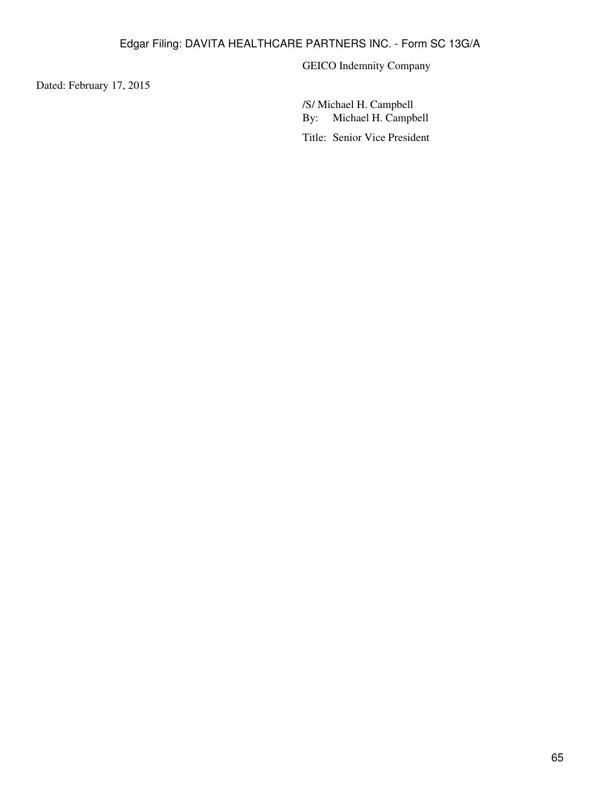GEICO Indemnity Company

Dated: February 17, 2015

/S/ Michael H. Campbell By: Michael H. Campbell Title: Senior Vice President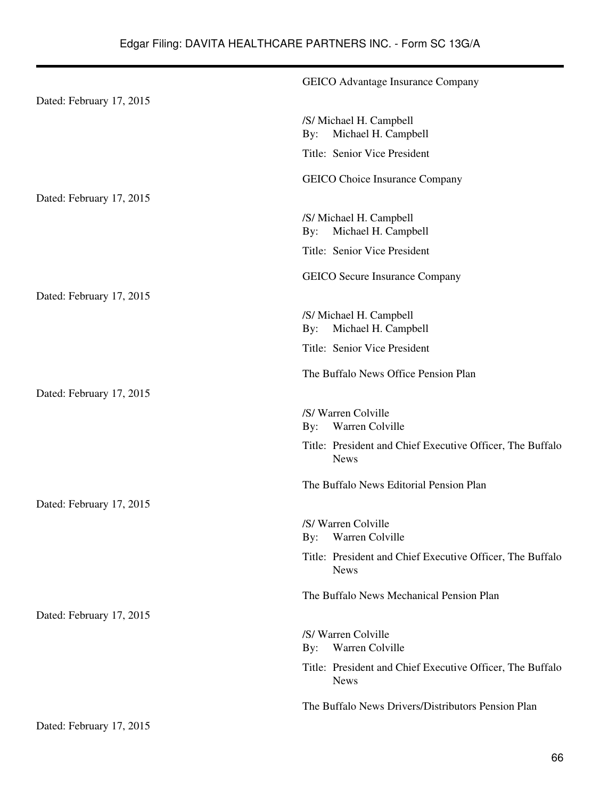|                          | <b>GEICO</b> Advantage Insurance Company                                 |
|--------------------------|--------------------------------------------------------------------------|
| Dated: February 17, 2015 |                                                                          |
|                          | /S/ Michael H. Campbell<br>Michael H. Campbell<br>By:                    |
|                          | Title: Senior Vice President                                             |
|                          | <b>GEICO</b> Choice Insurance Company                                    |
| Dated: February 17, 2015 |                                                                          |
|                          | /S/ Michael H. Campbell<br>Michael H. Campbell<br>By:                    |
|                          | Title: Senior Vice President                                             |
|                          | <b>GEICO</b> Secure Insurance Company                                    |
| Dated: February 17, 2015 |                                                                          |
|                          | /S/ Michael H. Campbell<br>Michael H. Campbell<br>By:                    |
|                          | Title: Senior Vice President                                             |
|                          | The Buffalo News Office Pension Plan                                     |
| Dated: February 17, 2015 |                                                                          |
|                          | /S/ Warren Colville<br>Warren Colville<br>By:                            |
|                          | Title: President and Chief Executive Officer, The Buffalo<br><b>News</b> |
|                          | The Buffalo News Editorial Pension Plan                                  |
| Dated: February 17, 2015 |                                                                          |
|                          | /S/ Warren Colville<br>By: Warren Colville                               |
|                          | Title: President and Chief Executive Officer, The Buffalo<br><b>News</b> |
|                          | The Buffalo News Mechanical Pension Plan                                 |
| Dated: February 17, 2015 |                                                                          |
|                          | /S/ Warren Colville<br>Warren Colville<br>$\mathbf{By:}$                 |
|                          | Title: President and Chief Executive Officer, The Buffalo<br><b>News</b> |
|                          | The Buffalo News Drivers/Distributors Pension Plan                       |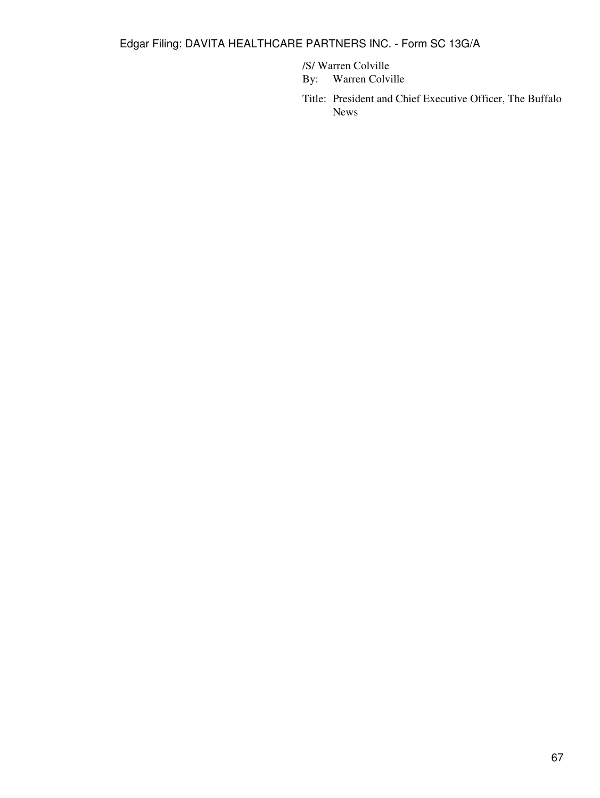/S/ Warren Colville

By: Warren Colville

Title: President and Chief Executive Officer, The Buffalo News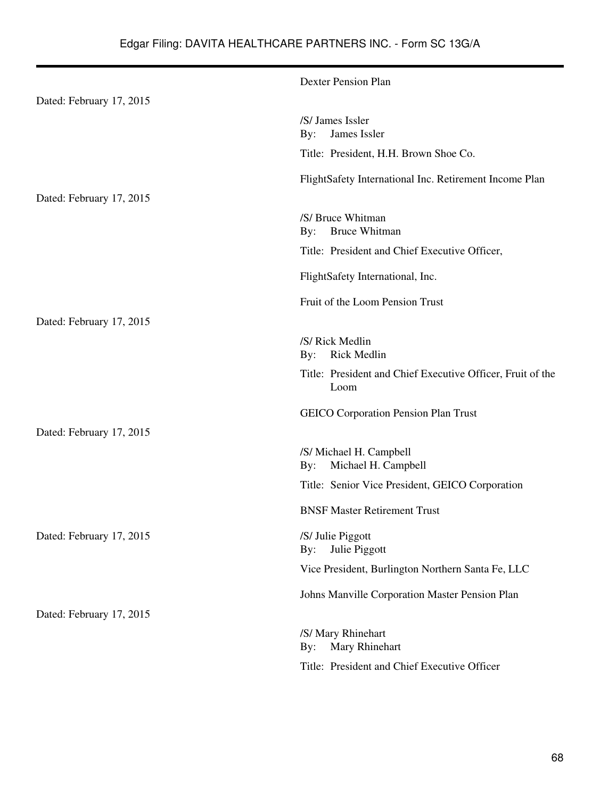|                          | <b>Dexter Pension Plan</b>                                         |
|--------------------------|--------------------------------------------------------------------|
| Dated: February 17, 2015 |                                                                    |
|                          | /S/ James Issler<br>James Issler<br>By:                            |
|                          | Title: President, H.H. Brown Shoe Co.                              |
|                          | FlightSafety International Inc. Retirement Income Plan             |
| Dated: February 17, 2015 |                                                                    |
|                          | /S/ Bruce Whitman<br><b>Bruce Whitman</b><br>$\mathbf{By:}$        |
|                          | Title: President and Chief Executive Officer,                      |
|                          | FlightSafety International, Inc.                                   |
|                          | Fruit of the Loom Pension Trust                                    |
| Dated: February 17, 2015 |                                                                    |
|                          | /S/ Rick Medlin<br><b>Rick Medlin</b><br>$\mathbf{By:}$            |
|                          | Title: President and Chief Executive Officer, Fruit of the<br>Loom |
|                          | <b>GEICO Corporation Pension Plan Trust</b>                        |
| Dated: February 17, 2015 |                                                                    |
|                          | /S/ Michael H. Campbell<br>Michael H. Campbell<br>By:              |
|                          | Title: Senior Vice President, GEICO Corporation                    |
|                          | <b>BNSF Master Retirement Trust</b>                                |
| Dated: February 17, 2015 | /S/ Julie Piggott<br>Julie Piggott<br>By:                          |
|                          | Vice President, Burlington Northern Santa Fe, LLC                  |
|                          | Johns Manville Corporation Master Pension Plan                     |
| Dated: February 17, 2015 |                                                                    |
|                          | /S/ Mary Rhinehart<br>Mary Rhinehart<br>By:                        |
|                          | Title: President and Chief Executive Officer                       |